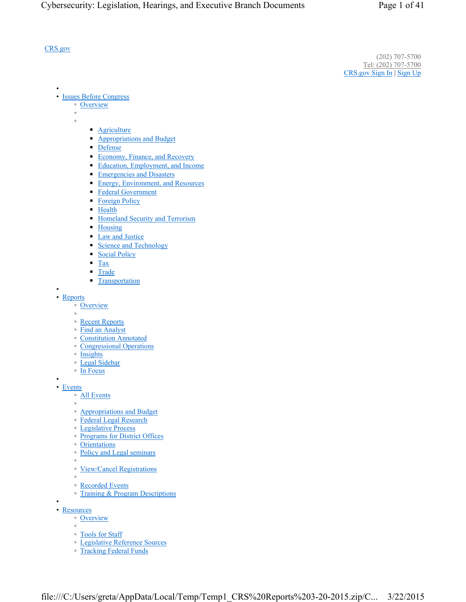#### CRS.gov

•

(202) 707-5700 Tel: (202) 707-5700 CRS.gov Sign In | Sign Up

- Issues Before Congress
	- Overview ◦
	- ◦
- Agriculture
- Appropriations and Budget
- Defense
- Economy, Finance, and Recovery
- Education, Employment, and Income
- Emergencies and Disasters
- Energy, Environment, and Resources
- Federal Government
- Foreign Policy
- Health
- Homeland Security and Terrorism
- Housing
- Law and Justice
- Science and Technology
- Social Policy
- Tax
- Trade
- **Transportation**
- • Reports
	- Overview
	- ◦
	- Recent Reports
	- Find an Analyst
	- Constitution Annotated
	- Congressional Operations
	- Insights
	- Legal Sidebar
	- In Focus
- • Events
	- All Events
		- ◦
		- Appropriations and Budget
		- Federal Legal Research
		- Legislative Process
		- Programs for District Offices
		- Orientations
		- Policy and Legal seminars
		- ◦ View/Cancel Registrations
		- ◦
		- Recorded Events
		- Training & Program Descriptions
- • Resources
	- Overview
	- ◦
	- Tools for Staff
	- Legislative Reference Sources
	- Tracking Federal Funds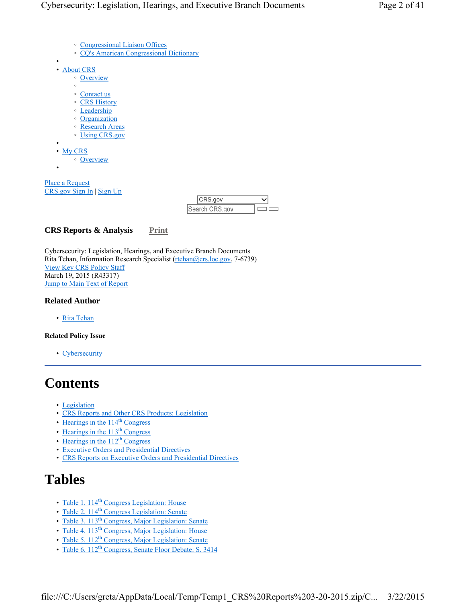- Congressional Liaison Offices
	- CQ's American Congressional Dictionary
- • About CRS
	- Overview
	- ◦
	- Contact us
	- CRS History
	- Leadership
	- Organization ◦ Research Areas
	- Using CRS.gov
	-
- My CRS

•

•

◦ Overview

Place a Request CRS.gov Sign In | Sign Up

| 'CRS.gov |  |
|----------|--|
| in The   |  |

## **CRS Reports & Analysis** Print

Cybersecurity: Legislation, Hearings, and Executive Branch Documents Rita Tehan, Information Research Specialist (rtehan@crs.loc.gov, 7-6739) View Key CRS Policy Staff March 19, 2015 (R43317) Jump to Main Text of Report

#### **Related Author**

• Rita Tehan

#### **Related Policy Issue**

• Cybersecurity

# **Contents**

- Legislation
- CRS Reports and Other CRS Products: Legislation
- $\cdot$  Hearings in the 114<sup>th</sup> Congress
- Hearings in the  $113<sup>th</sup>$  Congress
- Hearings in the  $112^{th}$  Congress
- Executive Orders and Presidential Directives
- CRS Reports on Executive Orders and Presidential Directives

# **Tables**

- Table 1. 114<sup>th</sup> Congress Legislation: House
- Table 2. 114<sup>th</sup> Congress Legislation: Senate
- Table 3. 113<sup>th</sup> Congress, Major Legislation: Senate
- Table 4. 113<sup>th</sup> Congress, Major Legislation: House
- Table 5.  $112^{th}$  Congress, Major Legislation: Senate
- Table 6.  $112^{th}$  Congress, Senate Floor Debate: S. 3414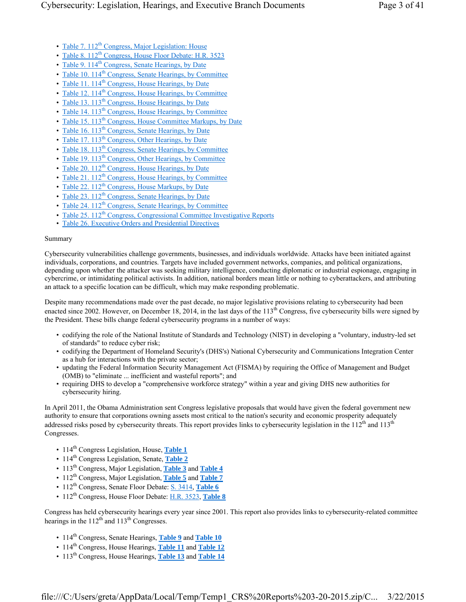- Table 7. 112<sup>th</sup> Congress, Major Legislation: House
- Table 8. 112<sup>th</sup> Congress, House Floor Debate: H.R. 3523
- Table 9. 114<sup>th</sup> Congress, Senate Hearings, by Date
- Table 10.  $114<sup>th</sup>$  Congress, Senate Hearings, by Committee
- Table 11.  $114^{th}$  Congress, House Hearings, by Date
- Table 12.  $114<sup>th</sup>$  Congress, House Hearings, by Committee
- Table 13.  $113<sup>th</sup>$  Congress, House Hearings, by Date
- Table 14. 113<sup>th</sup> Congress, House Hearings, by Committee
- Table 15.  $113^{\text{th}}$  Congress, House Committee Markups, by Date
- Table 16.  $113<sup>th</sup>$  Congress, Senate Hearings, by Date
- Table 17. 113<sup>th</sup> Congress, Other Hearings, by Date
- Table 18. 113<sup>th</sup> Congress, Senate Hearings, by Committee
- Table 19.  $113<sup>th</sup> Congress$ , Other Hearings, by Committee
- Table 20. 112<sup>th</sup> Congress, House Hearings, by Date
- Table 21.  $112^{th}$  Congress, House Hearings, by Committee
- Table 22.  $112^{th}$  Congress, House Markups, by Date
- Table 23.  $112^{th}$  Congress, Senate Hearings, by Date
- Table 24.  $112^{th}$  Congress, Senate Hearings, by Committee
- Table 25. 112<sup>th</sup> Congress, Congressional Committee Investigative Reports
- Table 26. Executive Orders and Presidential Directives

#### Summary

Cybersecurity vulnerabilities challenge governments, businesses, and individuals worldwide. Attacks have been initiated against individuals, corporations, and countries. Targets have included government networks, companies, and political organizations, depending upon whether the attacker was seeking military intelligence, conducting diplomatic or industrial espionage, engaging in cybercrime, or intimidating political activists. In addition, national borders mean little or nothing to cyberattackers, and attributing an attack to a specific location can be difficult, which may make responding problematic.

Despite many recommendations made over the past decade, no major legislative provisions relating to cybersecurity had been enacted since 2002. However, on December 18, 2014, in the last days of the  $113<sup>th</sup>$  Congress, five cybersecurity bills were signed by the President. These bills change federal cybersecurity programs in a number of ways:

- codifying the role of the National Institute of Standards and Technology (NIST) in developing a "voluntary, industry-led set of standards" to reduce cyber risk;
- codifying the Department of Homeland Security's (DHS's) National Cybersecurity and Communications Integration Center as a hub for interactions with the private sector;
- updating the Federal Information Security Management Act (FISMA) by requiring the Office of Management and Budget (OMB) to "eliminate ... inefficient and wasteful reports"; and
- requiring DHS to develop a "comprehensive workforce strategy" within a year and giving DHS new authorities for cybersecurity hiring.

In April 2011, the Obama Administration sent Congress legislative proposals that would have given the federal government new authority to ensure that corporations owning assets most critical to the nation's security and economic prosperity adequately addressed risks posed by cybersecurity threats. This report provides links to cybersecurity legislation in the  $112<sup>th</sup>$  and  $113<sup>th</sup>$ Congresses.

- 114<sup>th</sup> Congress Legislation, House, Table 1
- 114<sup>th</sup> Congress Legislation, Senate, Table 2
- 113th Congress, Major Legislation, **Table 3** and **Table 4**
- 112<sup>th</sup> Congress, Major Legislation, Table 5 and Table 7
- 112<sup>th</sup> Congress, Senate Floor Debate: S. 3414, Table 6
- 112<sup>th</sup> Congress, House Floor Debate: H.R. 3523, Table 8

Congress has held cybersecurity hearings every year since 2001. This report also provides links to cybersecurity-related committee hearings in the  $112<sup>th</sup>$  and  $113<sup>th</sup>$  Congresses.

- 114<sup>th</sup> Congress, Senate Hearings, Table 9 and Table 10
- 114<sup>th</sup> Congress, House Hearings, **Table 11** and **Table 12**
- 113th Congress, House Hearings, **Table 13** and **Table 14**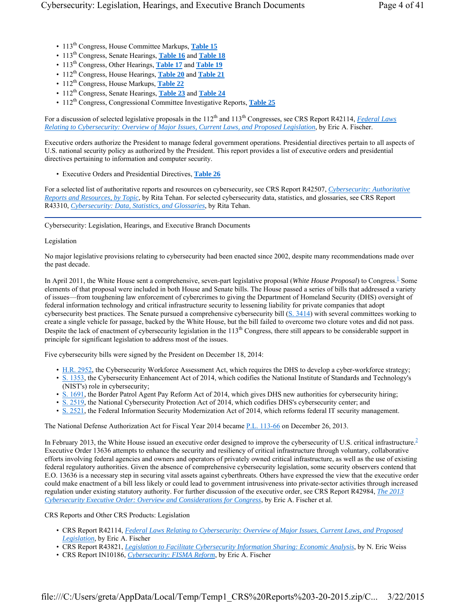- 113<sup>th</sup> Congress, House Committee Markups, Table 15
- 113th Congress, Senate Hearings, **Table 16** and **Table 18**
- 113th Congress, Other Hearings, **Table 17** and **Table 19**
- 112<sup>th</sup> Congress, House Hearings, **Table 20** and **Table 21**
- 112<sup>th</sup> Congress, House Markups, Table 22
- 112th Congress, Senate Hearings, **Table 23** and **Table 24**
- 112<sup>th</sup> Congress, Congressional Committee Investigative Reports, Table 25

For a discussion of selected legislative proposals in the 112<sup>th</sup> and 113<sup>th</sup> Congresses, see CRS Report R42114, *Federal Laws Relating to Cybersecurity: Overview of Major Issues, Current Laws, and Proposed Legislation*, by Eric A. Fischer.

Executive orders authorize the President to manage federal government operations. Presidential directives pertain to all aspects of U.S. national security policy as authorized by the President. This report provides a list of executive orders and presidential directives pertaining to information and computer security.

• Executive Orders and Presidential Directives, **Table 26**

For a selected list of authoritative reports and resources on cybersecurity, see CRS Report R42507, *Cybersecurity: Authoritative Reports and Resources, by Topic*, by Rita Tehan. For selected cybersecurity data, statistics, and glossaries, see CRS Report R43310, *Cybersecurity: Data, Statistics, and Glossaries*, by Rita Tehan.

Cybersecurity: Legislation, Hearings, and Executive Branch Documents

#### Legislation

No major legislative provisions relating to cybersecurity had been enacted since 2002, despite many recommendations made over the past decade.

In April 2011, the White House sent a comprehensive, seven-part legislative proposal (*White House Proposal*) to Congress.<sup>1</sup> Some elements of that proposal were included in both House and Senate bills. The House passed a series of bills that addressed a variety of issues—from toughening law enforcement of cybercrimes to giving the Department of Homeland Security (DHS) oversight of federal information technology and critical infrastructure security to lessening liability for private companies that adopt cybersecurity best practices. The Senate pursued a comprehensive cybersecurity bill (S. 3414) with several committees working to create a single vehicle for passage, backed by the White House, but the bill failed to overcome two cloture votes and did not pass. Despite the lack of enactment of cybersecurity legislation in the 113<sup>th</sup> Congress, there still appears to be considerable support in principle for significant legislation to address most of the issues.

Five cybersecurity bills were signed by the President on December 18, 2014:

- H.R. 2952, the Cybersecurity Workforce Assessment Act, which requires the DHS to develop a cyber-workforce strategy;
- S. 1353, the Cybersecurity Enhancement Act of 2014, which codifies the National Institute of Standards and Technology's (NIST's) role in cybersecurity;
- S. 1691, the Border Patrol Agent Pay Reform Act of 2014, which gives DHS new authorities for cybersecurity hiring;
- S. 2519, the National Cybersecurity Protection Act of 2014, which codifies DHS's cybersecurity center; and
- S. 2521, the Federal Information Security Modernization Act of 2014, which reforms federal IT security management.

The National Defense Authorization Act for Fiscal Year 2014 became P.L. 113-66 on December 26, 2013.

In February 2013, the White House issued an executive order designed to improve the cybersecurity of U.S. critical infrastructure.<sup>2</sup> Executive Order 13636 attempts to enhance the security and resiliency of critical infrastructure through voluntary, collaborative efforts involving federal agencies and owners and operators of privately owned critical infrastructure, as well as the use of existing federal regulatory authorities. Given the absence of comprehensive cybersecurity legislation, some security observers contend that E.O. 13636 is a necessary step in securing vital assets against cyberthreats. Others have expressed the view that the executive order could make enactment of a bill less likely or could lead to government intrusiveness into private-sector activities through increased regulation under existing statutory authority. For further discussion of the executive order, see CRS Report R42984, *The 2013 Cybersecurity Executive Order: Overview and Considerations for Congress*, by Eric A. Fischer et al.

CRS Reports and Other CRS Products: Legislation

- CRS Report R42114, *Federal Laws Relating to Cybersecurity: Overview of Major Issues, Current Laws, and Proposed Legislation*, by Eric A. Fischer
- CRS Report R43821, *Legislation to Facilitate Cybersecurity Information Sharing: Economic Analysis*, by N. Eric Weiss
- CRS Report IN10186, *Cybersecurity: FISMA Reform*, by Eric A. Fischer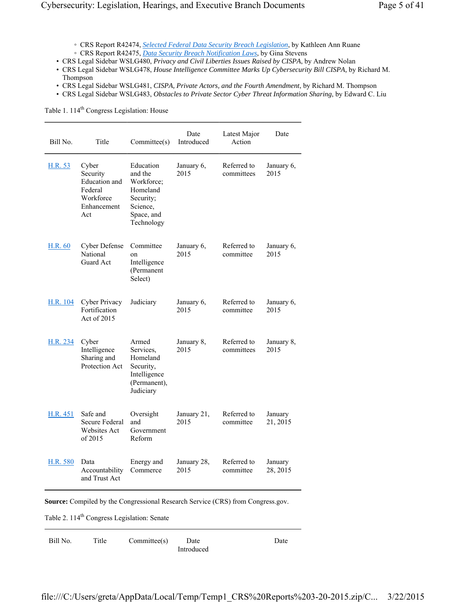- CRS Report R42474, *Selected Federal Data Security Breach Legislation*, by Kathleen Ann Ruane ◦ CRS Report R42475, *Data Security Breach Notification Laws*, by Gina Stevens
- CRS Legal Sidebar WSLG480, *Privacy and Civil Liberties Issues Raised by CISPA*, by Andrew Nolan
- CRS Legal Sidebar WSLG478, *House Intelligence Committee Marks Up Cybersecurity Bill CISPA,* by Richard M. Thompson
- CRS Legal Sidebar WSLG481, *CISPA, Private Actors, and the Fourth Amendment*, by Richard M. Thompson
- CRS Legal Sidebar WSLG483, *Obstacles to Private Sector Cyber Threat Information Sharing*, by Edward C. Liu

Table 1. 114<sup>th</sup> Congress Legislation: House

| Bill No.        | Title                                                                            | Committee(s)                                                                                        | Date<br>Introduced  | Latest Major<br>Action    | Date                |
|-----------------|----------------------------------------------------------------------------------|-----------------------------------------------------------------------------------------------------|---------------------|---------------------------|---------------------|
| H.R. 53         | Cyber<br>Security<br>Education and<br>Federal<br>Workforce<br>Enhancement<br>Act | Education<br>and the<br>Workforce;<br>Homeland<br>Security;<br>Science,<br>Space, and<br>Technology | January 6,<br>2015  | Referred to<br>committees | January 6,<br>2015  |
| H.R. 60         | <b>Cyber Defense</b><br><b>National</b><br>Guard Act                             | Committee<br>on<br>Intelligence<br>(Permanent<br>Select)                                            | January 6,<br>2015  | Referred to<br>committee  | January 6,<br>2015  |
| H.R. 104        | Cyber Privacy<br>Fortification<br>Act of 2015                                    | Judiciary                                                                                           | January 6,<br>2015  | Referred to<br>committee  | January 6,<br>2015  |
| H.R. 234        | Cyber<br>Intelligence<br>Sharing and<br>Protection Act                           | Armed<br>Services,<br>Homeland<br>Security,<br>Intelligence<br>(Permanent),<br>Judiciary            | January 8,<br>2015  | Referred to<br>committees | January 8,<br>2015  |
| H.R. 451        | Safe and<br><b>Secure Federal</b><br><b>Websites Act</b><br>of $2015$            | Oversight<br>and<br>Government<br>Reform                                                            | January 21,<br>2015 | Referred to<br>committee  | January<br>21, 2015 |
| <b>H.R. 580</b> | Data<br>Accountability<br>and Trust Act                                          | Energy and<br>Commerce                                                                              | January 28,<br>2015 | Referred to<br>committee  | January<br>28, 2015 |

**Source:** Compiled by the Congressional Research Service (CRS) from Congress.gov.

Table 2. 114<sup>th</sup> Congress Legislation: Senate

| Bill No. | Title | Commitee(s) | Date       |  |
|----------|-------|-------------|------------|--|
|          |       |             | Introduced |  |

Date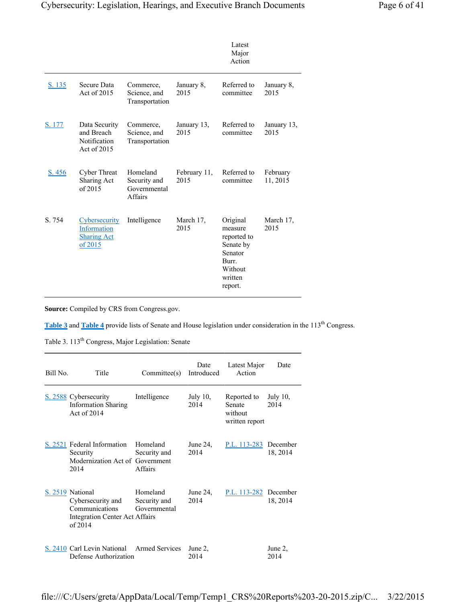|        |                                                                      |                                                            |                      | Latest<br>Major<br>Action                                                                            |                      |
|--------|----------------------------------------------------------------------|------------------------------------------------------------|----------------------|------------------------------------------------------------------------------------------------------|----------------------|
| S. 135 | Secure Data<br>Act of 2015                                           | Commerce,<br>Science, and<br>Transportation                | January 8,<br>2015   | Referred to<br>committee                                                                             | January 8,<br>2015   |
| S. 177 | Data Security<br>and Breach<br>Notification<br>Act of 2015           | Commerce,<br>Science, and<br>Transportation                | January 13,<br>2015  | Referred to<br>committee                                                                             | January 13,<br>2015  |
| S. 456 | <b>Cyber Threat</b><br>Sharing Act<br>of $2015$                      | Homeland<br>Security and<br>Governmental<br><b>Affairs</b> | February 11,<br>2015 | Referred to<br>committee                                                                             | February<br>11, 2015 |
| S. 754 | <b>Cybersecurity</b><br>Information<br><b>Sharing Act</b><br>of 2015 | Intelligence                                               | March 17,<br>2015    | Original<br>measure<br>reported to<br>Senate by<br>Senator<br>Burr.<br>Without<br>written<br>report. | March 17,<br>2015    |

**Source:** Compiled by CRS from Congress.gov.

**Table 3** and **Table 4** provide lists of Senate and House legislation under consideration in the 113<sup>th</sup> Congress.

Table 3. 113<sup>th</sup> Congress, Major Legislation: Senate

| Bill No. | Title                                                                                                       | Commitee(s)                              | Date<br>Introduced  | Latest Major<br>Action                                    | Date             |
|----------|-------------------------------------------------------------------------------------------------------------|------------------------------------------|---------------------|-----------------------------------------------------------|------------------|
|          | S. 2588 Cybersecurity<br><b>Information Sharing</b><br>Act of 2014                                          | Intelligence                             | July $10$ ,<br>2014 | Reported to<br><b>Senate</b><br>without<br>written report | July 10,<br>2014 |
|          | S. 2521 Federal Information<br>Security<br>Modernization Act of Government<br>2014                          | Homeland<br>Security and<br>Affairs      | June $24$ ,<br>2014 | P.L. 113-283 December                                     | 18, 2014         |
|          | S. 2519 National<br>Cybersecurity and<br><b>Communications</b><br>Integration Center Act Affairs<br>of 2014 | Homeland<br>Security and<br>Governmental | June $24$ .<br>2014 | P.L. 113-282 December                                     | 18, 2014         |
|          | S. 2410 Carl Levin National Armed Services<br>Defense Authorization                                         |                                          | June 2,<br>2014     |                                                           | June 2,<br>2014  |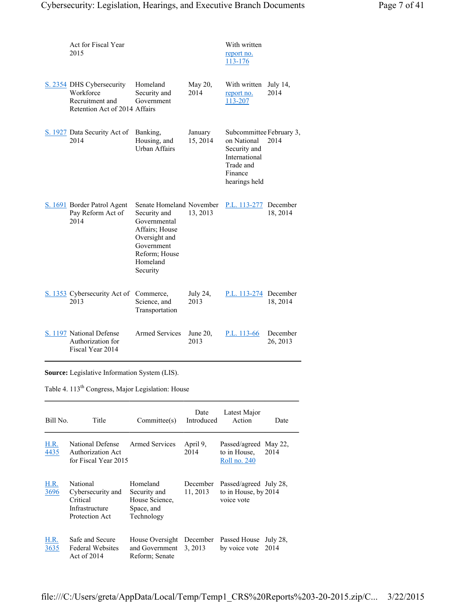| Act for Fiscal Year<br>2015                                                                |                                                                                                                                                    |                     | With written<br>report no.<br>113-176                                                                             |                      |
|--------------------------------------------------------------------------------------------|----------------------------------------------------------------------------------------------------------------------------------------------------|---------------------|-------------------------------------------------------------------------------------------------------------------|----------------------|
| S. 2354 DHS Cybersecurity<br>Workforce<br>Recruitment and<br>Retention Act of 2014 Affairs | Homeland<br>Security and<br>Government                                                                                                             | May 20,<br>2014     | With written<br>report no.<br>113-207                                                                             | July $14$ ,<br>2014  |
| S. 1927 Data Security Act of<br>2014                                                       | Banking,<br>Housing, and<br><b>Urban Affairs</b>                                                                                                   | January<br>15, 2014 | Subcommittee February 3,<br>on National<br>Security and<br>International<br>Trade and<br>Finance<br>hearings held | 2014                 |
| S. 1691 Border Patrol Agent<br>Pay Reform Act of<br>2014                                   | Senate Homeland November<br>Security and<br>Governmental<br>Affairs; House<br>Oversight and<br>Government<br>Reform; House<br>Homeland<br>Security | 13, 2013            | P.L. 113-277                                                                                                      | December<br>18, 2014 |
| S. 1353 Cybersecurity Act of<br>2013                                                       | Commerce,<br>Science, and<br>Transportation                                                                                                        | July 24,<br>2013    | P.L. 113-274                                                                                                      | December<br>18, 2014 |
| S. 1197 National Defense<br>Authorization for<br>Fiscal Year 2014                          | <b>Armed Services</b>                                                                                                                              | June 20,<br>2013    | P.L. 113-66                                                                                                       | December<br>26, 2013 |

**Source:** Legislative Information System (LIS).

Table 4. 113<sup>th</sup> Congress, Major Legislation: House

| Bill No.     | Title                                                                         | Commitee(s)                                                            | Date<br>Introduced   | Latest Major<br>Action                                       | Date             |
|--------------|-------------------------------------------------------------------------------|------------------------------------------------------------------------|----------------------|--------------------------------------------------------------|------------------|
| H.R.<br>4435 | National Defense<br><b>Authorization Act</b><br>for Fiscal Year 2015          | <b>Armed Services</b>                                                  | April 9,<br>2014     | Passed/agreed<br>to in House.<br>Roll no. 240                | May 22,<br>2014  |
| H.R.<br>3696 | National<br>Cybersecurity and<br>Critical<br>Infrastructure<br>Protection Act | Homeland<br>Security and<br>House Science.<br>Space, and<br>Technology | December<br>11, 2013 | Passed/agreed July 28,<br>to in House, by 2014<br>voice vote |                  |
| H.R.<br>3635 | Safe and Secure<br><b>Federal Websites</b><br>Act of 2014                     | House Oversight<br>and Government<br>Reform; Senate                    | December<br>3, 2013  | Passed House<br>by voice vote                                | July 28,<br>2014 |

file:///C:/Users/greta/AppData/Local/Temp/Temp1\_CRS%20Reports%203-20-2015.zip/C... 3/22/2015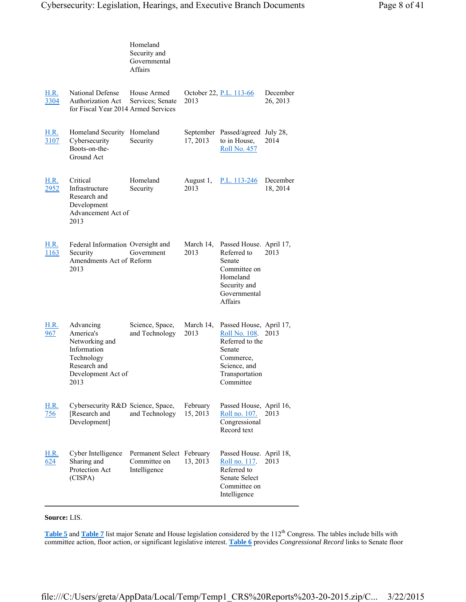|                     |                                                                                                                     | Homeland<br>Security and<br>Governmental<br><b>Affairs</b> |                      |                                                                                                                                   |                      |
|---------------------|---------------------------------------------------------------------------------------------------------------------|------------------------------------------------------------|----------------------|-----------------------------------------------------------------------------------------------------------------------------------|----------------------|
| H.R.<br>3304        | National Defense<br><b>Authorization Act</b><br>for Fiscal Year 2014 Armed Services                                 | House Armed<br>Services; Senate                            | 2013                 | October 22, P.L. 113-66                                                                                                           | December<br>26, 2013 |
| H.R.<br>3107        | Homeland Security<br>Cybersecurity<br>Boots-on-the-<br>Ground Act                                                   | Homeland<br>Security                                       | 17, 2013             | September Passed/agreed July 28,<br>to in House,<br><b>Roll No. 457</b>                                                           | 2014                 |
| H.R.<br>2952        | Critical<br>Infrastructure<br>Research and<br>Development<br>Advancement Act of<br>2013                             | Homeland<br>Security                                       | August 1,<br>2013    | P.L. 113-246                                                                                                                      | December<br>18, 2014 |
| <u>H.R.</u><br>1163 | Federal Information Oversight and<br>Security<br>Amendments Act of Reform<br>2013                                   | Government                                                 | March 14,<br>2013    | Passed House. April 17,<br>Referred to<br>Senate<br>Committee on<br>Homeland<br>Security and<br>Governmental<br>Affairs           | 2013                 |
| H.R.<br>967         | Advancing<br>America's<br>Networking and<br>Information<br>Technology<br>Research and<br>Development Act of<br>2013 | Science, Space,<br>and Technology                          | March 14,<br>2013    | Passed House, April 17,<br>Roll No. 108.<br>Referred to the<br>Senate<br>Commerce,<br>Science, and<br>Transportation<br>Committee | 2013                 |
| <u>H.R.</u><br>756  | Cybersecurity R&D Science, Space,<br>[Research and<br>Development]                                                  | and Technology                                             | February<br>15, 2013 | Passed House, April 16,<br>Roll no. 107.<br>Congressional<br>Record text                                                          | 2013                 |
| <u>H.R.</u><br>624  | Cyber Intelligence<br>Sharing and<br>Protection Act<br>(CISPA)                                                      | Permanent Select February<br>Committee on<br>Intelligence  | 13, 2013             | Passed House. April 18,<br>Roll no. 117.<br>Referred to<br>Senate Select<br>Committee on<br>Intelligence                          | 2013                 |

#### **Source:** LIS.

Table 5 and Table 7 list major Senate and House legislation considered by the 112<sup>th</sup> Congress. The tables include bills with committee action, floor action, or significant legislative interest. **Table 6** provides *Congressional Record* links to Senate floor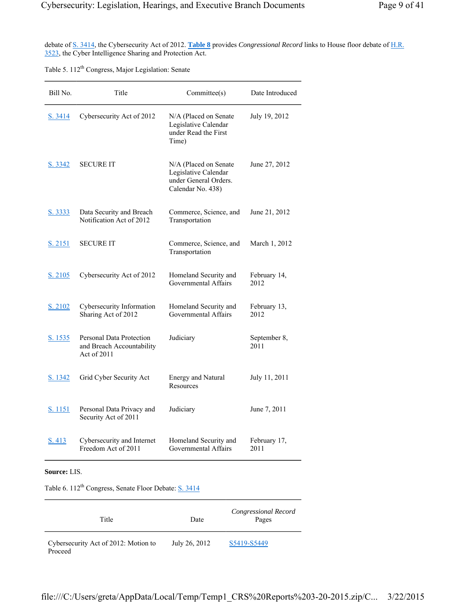debate of S. 3414, the Cybersecurity Act of 2012. **Table 8** provides *Congressional Record* links to House floor debate of H.R. 3523, the Cyber Intelligence Sharing and Protection Act.

Table 5. 112<sup>th</sup> Congress, Major Legislation: Senate

| Bill No.       | Title                                                                | Committee(s)                                                                                | Date Introduced      |
|----------------|----------------------------------------------------------------------|---------------------------------------------------------------------------------------------|----------------------|
| S. 3414        | Cybersecurity Act of 2012                                            | N/A (Placed on Senate<br>Legislative Calendar<br>under Read the First<br>Time)              | July 19, 2012        |
| S. 3342        | <b>SECURE IT</b>                                                     | N/A (Placed on Senate<br>Legislative Calendar<br>under General Orders.<br>Calendar No. 438) | June 27, 2012        |
| S. 3333        | Data Security and Breach<br>Notification Act of 2012                 | Commerce, Science, and<br>Transportation                                                    | June 21, 2012        |
| S. 2151        | <b>SECURE IT</b>                                                     | Commerce, Science, and<br>Transportation                                                    | March 1, 2012        |
| S. 2105        | Cybersecurity Act of 2012                                            | Homeland Security and<br>Governmental Affairs                                               | February 14,<br>2012 |
| S. 2102        | Cybersecurity Information<br>Sharing Act of 2012                     | Homeland Security and<br>Governmental Affairs                                               | February 13,<br>2012 |
| S. 1535        | Personal Data Protection<br>and Breach Accountability<br>Act of 2011 | Judiciary                                                                                   | September 8,<br>2011 |
| <u>S. 1342</u> | Grid Cyber Security Act                                              | <b>Energy and Natural</b><br>Resources                                                      | July 11, 2011        |
| S. 1151        | Personal Data Privacy and<br>Security Act of 2011                    | Judiciary                                                                                   | June 7, 2011         |
| S. 413         | Cybersecurity and Internet<br>Freedom Act of 2011                    | Homeland Security and<br>Governmental Affairs                                               | February 17,<br>2011 |

**Source:** LIS.

Table 6. 112<sup>th</sup> Congress, Senate Floor Debate: <u>S. 3414</u>

| Title                                           | Date          | Congressional Record<br>Pages |
|-------------------------------------------------|---------------|-------------------------------|
| Cybersecurity Act of 2012: Motion to<br>Proceed | July 26, 2012 | S5419-S5449                   |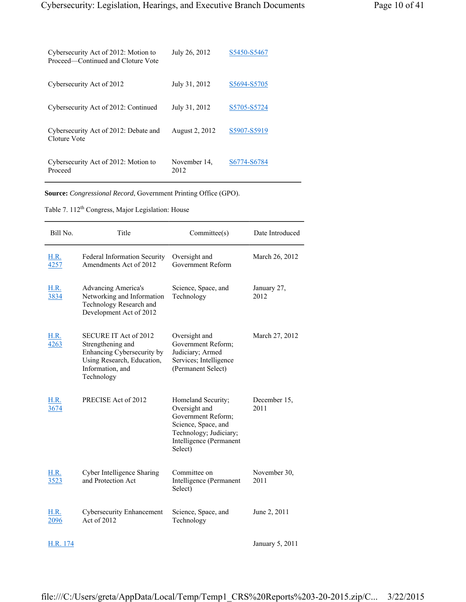| Cybersecurity Act of 2012: Motion to<br>Proceed—Continued and Cloture Vote | July 26, 2012        | S5450-S5467 |
|----------------------------------------------------------------------------|----------------------|-------------|
| Cybersecurity Act of 2012                                                  | July 31, 2012        | S5694-S5705 |
| Cybersecurity Act of 2012: Continued                                       | July 31, 2012        | S5705-S5724 |
| Cybersecurity Act of 2012: Debate and<br>Cloture Vote                      | August 2, 2012       | S5907-S5919 |
| Cybersecurity Act of 2012: Motion to<br>Proceed                            | November 14.<br>2012 | S6774-S6784 |

**Source:** *Congressional Record*, Government Printing Office (GPO).

Table 7. 112<sup>th</sup> Congress, Major Legislation: House

| Bill No.            | Title                                                                                                                                    | Committee(s)                                                                                                                                     | Date Introduced      |
|---------------------|------------------------------------------------------------------------------------------------------------------------------------------|--------------------------------------------------------------------------------------------------------------------------------------------------|----------------------|
| <b>H.R.</b><br>4257 | Federal Information Security<br>Amendments Act of 2012                                                                                   | Oversight and<br>Government Reform                                                                                                               | March 26, 2012       |
| <b>H.R.</b><br>3834 | <b>Advancing America's</b><br>Networking and Information<br>Technology Research and<br>Development Act of 2012                           | Science, Space, and<br>Technology                                                                                                                | January 27,<br>2012  |
| <b>H.R.</b><br>4263 | SECURE IT Act of 2012<br>Strengthening and<br>Enhancing Cybersecurity by<br>Using Research, Education,<br>Information, and<br>Technology | Oversight and<br>Government Reform;<br>Judiciary; Armed<br>Services; Intelligence<br>(Permanent Select)                                          | March 27, 2012       |
| <b>H.R.</b><br>3674 | PRECISE Act of 2012                                                                                                                      | Homeland Security;<br>Oversight and<br>Government Reform;<br>Science, Space, and<br>Technology; Judiciary;<br>Intelligence (Permanent<br>Select) | December 15,<br>2011 |
| <b>H.R.</b><br>3523 | Cyber Intelligence Sharing<br>and Protection Act                                                                                         | Committee on<br>Intelligence (Permanent<br>Select)                                                                                               | November 30,<br>2011 |
| <b>H.R.</b><br>2096 | <b>Cybersecurity Enhancement</b><br>Act of 2012                                                                                          | Science, Space, and<br>Technology                                                                                                                | June 2, 2011         |
| H.R. 174            |                                                                                                                                          |                                                                                                                                                  | January 5, 2011      |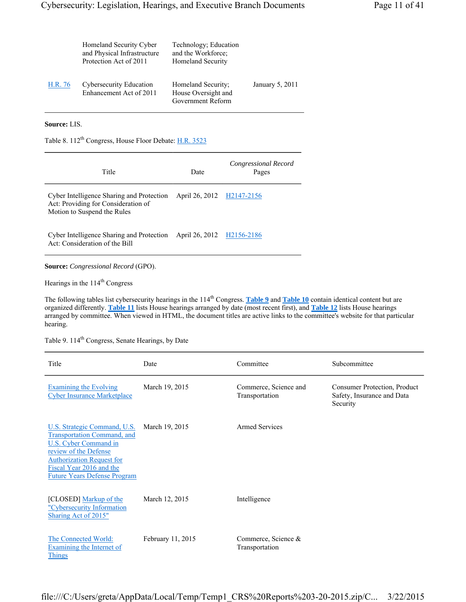|         | Homeland Security Cyber<br>and Physical Infrastructure<br>Protection Act of 2011 | Technology; Education<br>and the Workforce:<br><b>Homeland Security</b> |                 |
|---------|----------------------------------------------------------------------------------|-------------------------------------------------------------------------|-----------------|
| H.R. 76 | <b>Cybersecurity Education</b><br>Enhancement Act of 2011                        | Homeland Security;<br>House Oversight and<br>Government Reform          | January 5, 2011 |

**Source:** LIS.

Table 8. 112<sup>th</sup> Congress, House Floor Debate: **H.R. 3523** 

| Title                                                                                                           | Date                      | Congressional Record<br>Pages |  |  |
|-----------------------------------------------------------------------------------------------------------------|---------------------------|-------------------------------|--|--|
| Cyber Intelligence Sharing and Protection<br>Act: Providing for Consideration of<br>Motion to Suspend the Rules | April 26, 2012 H2147-2156 |                               |  |  |
| Cyber Intelligence Sharing and Protection<br>Act: Consideration of the Bill                                     | April 26, 2012 H2156-2186 |                               |  |  |
| <b>Source:</b> Congressional Record (GPO).                                                                      |                           |                               |  |  |

Hearings in the 114<sup>th</sup> Congress

The following tables list cybersecurity hearings in the 114<sup>th</sup> Congress. Table 9 and Table 10 contain identical content but are organized differently. **Table 11** lists House hearings arranged by date (most recent first), and **Table 12** lists House hearings arranged by committee. When viewed in HTML, the document titles are active links to the committee's website for that particular hearing.

Table 9. 114<sup>th</sup> Congress, Senate Hearings, by Date

| Title                                                                                                                                                                                                                       | Date              | Committee                               | Subcommittee                                                           |
|-----------------------------------------------------------------------------------------------------------------------------------------------------------------------------------------------------------------------------|-------------------|-----------------------------------------|------------------------------------------------------------------------|
| <b>Examining the Evolving</b><br><b>Cyber Insurance Marketplace</b>                                                                                                                                                         | March 19, 2015    | Commerce, Science and<br>Transportation | Consumer Protection, Product<br>Safety, Insurance and Data<br>Security |
| U.S. Strategic Command, U.S.<br><b>Transportation Command, and</b><br>U.S. Cyber Command in<br>review of the Defense<br><b>Authorization Request for</b><br>Fiscal Year 2016 and the<br><b>Future Years Defense Program</b> | March 19, 2015    | Armed Services                          |                                                                        |
| [CLOSED] Markup of the<br>"Cybersecurity Information<br>Sharing Act of 2015"                                                                                                                                                | March 12, 2015    | Intelligence                            |                                                                        |
| The Connected World:<br><b>Examining the Internet of</b><br>Things                                                                                                                                                          | February 11, 2015 | Commerce, Science &<br>Transportation   |                                                                        |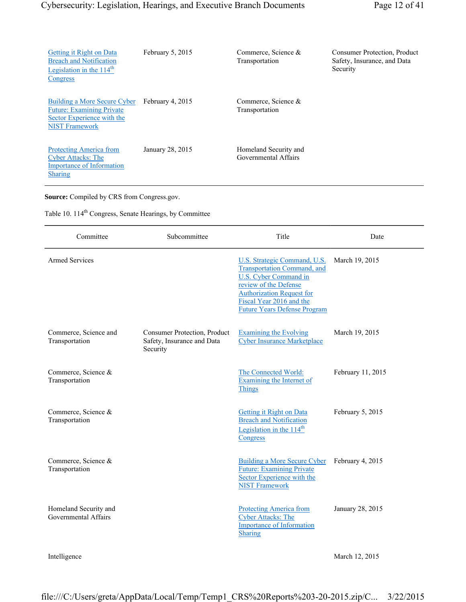| Getting it Right on Data<br><b>Breach and Notification</b><br>Legislation in the $114th$<br>Congress                    | February 5, 2015 | Commerce, Science $&$<br>Transportation       | <b>Consumer Protection, Product</b><br>Safety, Insurance, and Data<br>Security |
|-------------------------------------------------------------------------------------------------------------------------|------------------|-----------------------------------------------|--------------------------------------------------------------------------------|
| Building a More Secure Cyber<br><b>Future: Examining Private</b><br>Sector Experience with the<br><b>NIST Framework</b> | February 4, 2015 | Commerce, Science &<br>Transportation         |                                                                                |
| <b>Protecting America from</b><br><b>Cyber Attacks: The</b><br><b>Importance of Information</b><br><b>Sharing</b>       | January 28, 2015 | Homeland Security and<br>Governmental Affairs |                                                                                |

**Source:** Compiled by CRS from Congress.gov.

Table 10. 114<sup>th</sup> Congress, Senate Hearings, by Committee

| Committee                                     | Subcommittee                                                           | Title                                                                                                                                                                                                                               | Date              |
|-----------------------------------------------|------------------------------------------------------------------------|-------------------------------------------------------------------------------------------------------------------------------------------------------------------------------------------------------------------------------------|-------------------|
| <b>Armed Services</b>                         |                                                                        | U.S. Strategic Command, U.S.<br><b>Transportation Command</b> , and<br><b>U.S. Cyber Command in</b><br>review of the Defense<br><b>Authorization Request for</b><br>Fiscal Year 2016 and the<br><b>Future Years Defense Program</b> | March 19, 2015    |
| Commerce, Science and<br>Transportation       | Consumer Protection, Product<br>Safety, Insurance and Data<br>Security | <b>Examining the Evolving</b><br><b>Cyber Insurance Marketplace</b>                                                                                                                                                                 | March 19, 2015    |
| Commerce, Science &<br>Transportation         |                                                                        | The Connected World:<br>Examining the Internet of<br>Things                                                                                                                                                                         | February 11, 2015 |
| Commerce, Science &<br>Transportation         |                                                                        | <b>Getting it Right on Data</b><br><b>Breach and Notification</b><br>Legislation in the $114th$<br>Congress                                                                                                                         | February 5, 2015  |
| Commerce, Science &<br>Transportation         |                                                                        | <b>Building a More Secure Cyber</b><br><b>Future: Examining Private</b><br>Sector Experience with the<br><b>NIST Framework</b>                                                                                                      | February 4, 2015  |
| Homeland Security and<br>Governmental Affairs |                                                                        | <b>Protecting America from</b><br><b>Cyber Attacks: The</b><br><b>Importance of Information</b><br><b>Sharing</b>                                                                                                                   | January 28, 2015  |
| Intelligence                                  |                                                                        |                                                                                                                                                                                                                                     | March 12, 2015    |

file:///C:/Users/greta/AppData/Local/Temp/Temp1\_CRS%20Reports%203-20-2015.zip/C... 3/22/2015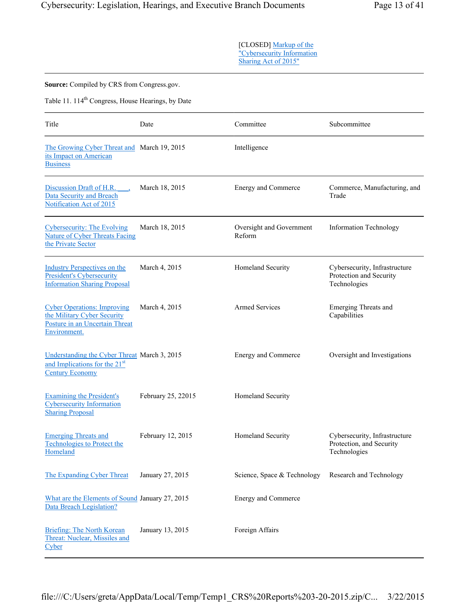[CLOSED] Markup of the "Cybersecurity Information Sharing Act of 2015"

**Source:** Compiled by CRS from Congress.gov.

Table 11. 114<sup>th</sup> Congress, House Hearings, by Date

| Title                                                                                                               | Date               | Committee                          | Subcommittee                                                              |
|---------------------------------------------------------------------------------------------------------------------|--------------------|------------------------------------|---------------------------------------------------------------------------|
| The Growing Cyber Threat and March 19, 2015<br>its Impact on American<br><b>Business</b>                            |                    | Intelligence                       |                                                                           |
| Discussion Draft of H.R.<br><b>Data Security and Breach</b><br>Notification Act of 2015                             | March 18, 2015     | Energy and Commerce                | Commerce, Manufacturing, and<br>Trade                                     |
| <b>Cybersecurity: The Evolving</b><br><b>Nature of Cyber Threats Facing</b><br>the Private Sector                   | March 18, 2015     | Oversight and Government<br>Reform | <b>Information Technology</b>                                             |
| <b>Industry Perspectives on the</b><br><b>President's Cybersecurity</b><br><b>Information Sharing Proposal</b>      | March 4, 2015      | Homeland Security                  | Cybersecurity, Infrastructure<br>Protection and Security<br>Technologies  |
| <b>Cyber Operations: Improving</b><br>the Military Cyber Security<br>Posture in an Uncertain Threat<br>Environment. | March 4, 2015      | <b>Armed Services</b>              | <b>Emerging Threats and</b><br>Capabilities                               |
| Understanding the Cyber Threat March 3, 2015<br>and Implications for the 21 <sup>st</sup><br><b>Century Economy</b> |                    | <b>Energy and Commerce</b>         | Oversight and Investigations                                              |
| <b>Examining the President's</b><br><b>Cybersecurity Information</b><br><b>Sharing Proposal</b>                     | February 25, 22015 | Homeland Security                  |                                                                           |
| <b>Emerging Threats and</b><br><b>Technologies to Protect the</b><br>Homeland                                       | February 12, 2015  | Homeland Security                  | Cybersecurity, Infrastructure<br>Protection, and Security<br>Technologies |
| The Expanding Cyber Threat                                                                                          | January 27, 2015   | Science, Space & Technology        | Research and Technology                                                   |
| What are the Elements of Sound January 27, 2015<br>Data Breach Legislation?                                         |                    | Energy and Commerce                |                                                                           |
| Briefing: The North Korean<br>Threat: Nuclear, Missiles and<br>Cyber                                                | January 13, 2015   | Foreign Affairs                    |                                                                           |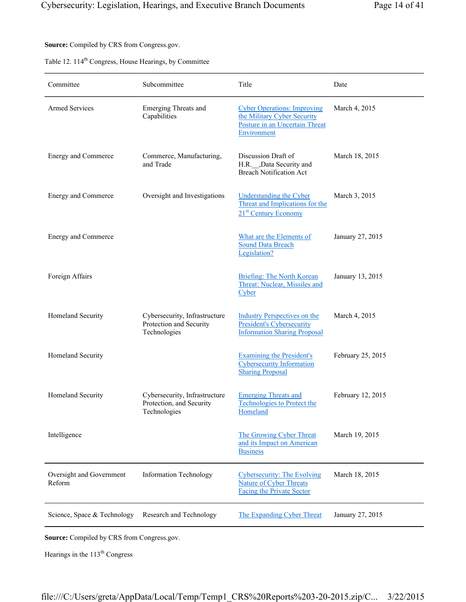**Source:** Compiled by CRS from Congress.gov.

| Table 12. 114 <sup>th</sup> Congress, House Hearings, by Committee |  |  |  |  |
|--------------------------------------------------------------------|--|--|--|--|
|--------------------------------------------------------------------|--|--|--|--|

| Committee                          | Subcommittee                                                              | Title                                                                                                              | Date              |
|------------------------------------|---------------------------------------------------------------------------|--------------------------------------------------------------------------------------------------------------------|-------------------|
| <b>Armed Services</b>              | <b>Emerging Threats and</b><br>Capabilities                               | <b>Cyber Operations: Improving</b><br>the Military Cyber Security<br>Posture in an Uncertain Threat<br>Environment | March 4, 2015     |
| Energy and Commerce                | Commerce, Manufacturing,<br>and Trade                                     | Discussion Draft of<br>H.R. __ ,Data Security and<br><b>Breach Notification Act</b>                                | March 18, 2015    |
| Energy and Commerce                | Oversight and Investigations                                              | <b>Understanding the Cyber</b><br>Threat and Implications for the<br>21 <sup>st</sup> Century Economy              | March 3, 2015     |
| Energy and Commerce                |                                                                           | What are the Elements of<br><b>Sound Data Breach</b><br>Legislation?                                               | January 27, 2015  |
| Foreign Affairs                    |                                                                           | <b>Briefing: The North Korean</b><br>Threat: Nuclear, Missiles and<br>Cyber                                        | January 13, 2015  |
| Homeland Security                  | Cybersecurity, Infrastructure<br>Protection and Security<br>Technologies  | <b>Industry Perspectives on the</b><br><b>President's Cybersecurity</b><br><b>Information Sharing Proposal</b>     | March 4, 2015     |
| Homeland Security                  |                                                                           | <b>Examining the President's</b><br><b>Cybersecurity Information</b><br><b>Sharing Proposal</b>                    | February 25, 2015 |
| Homeland Security                  | Cybersecurity, Infrastructure<br>Protection, and Security<br>Technologies | <b>Emerging Threats and</b><br><b>Technologies to Protect the</b><br>Homeland                                      | February 12, 2015 |
| Intelligence                       |                                                                           | The Growing Cyber Threat<br>and its Impact on American<br><b>Business</b>                                          | March 19, 2015    |
| Oversight and Government<br>Reform | <b>Information Technology</b>                                             | <b>Cybersecurity: The Evolving</b><br><b>Nature of Cyber Threats</b><br><b>Facing the Private Sector</b>           | March 18, 2015    |
| Science, Space & Technology        | Research and Technology                                                   | The Expanding Cyber Threat                                                                                         | January 27, 2015  |

**Source:** Compiled by CRS from Congress.gov.

Hearings in the 113<sup>th</sup> Congress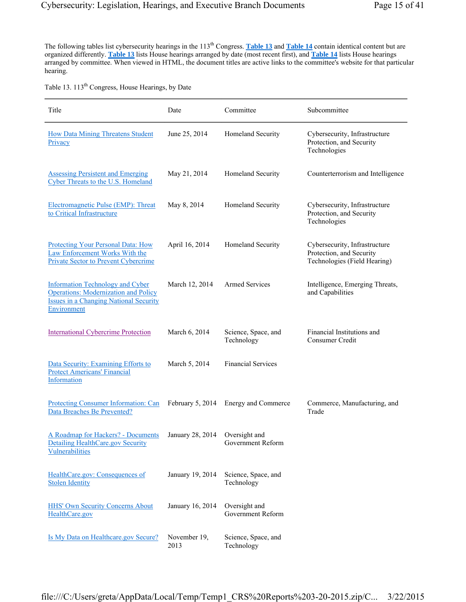The following tables list cybersecurity hearings in the 113<sup>th</sup> Congress. Table 13 and Table 14 contain identical content but are organized differently. **Table 13** lists House hearings arranged by date (most recent first), and **Table 14** lists House hearings arranged by committee. When viewed in HTML, the document titles are active links to the committee's website for that particular hearing.

Table 13. 113<sup>th</sup> Congress, House Hearings, by Date

| Title                                                                                                                                                  | Date                 | Committee                          | Subcommittee                                                                              |
|--------------------------------------------------------------------------------------------------------------------------------------------------------|----------------------|------------------------------------|-------------------------------------------------------------------------------------------|
| <b>How Data Mining Threatens Student</b><br>Privacy                                                                                                    | June 25, 2014        | Homeland Security                  | Cybersecurity, Infrastructure<br>Protection, and Security<br>Technologies                 |
| <b>Assessing Persistent and Emerging</b><br>Cyber Threats to the U.S. Homeland                                                                         | May 21, 2014         | Homeland Security                  | Counterterrorism and Intelligence                                                         |
| Electromagnetic Pulse (EMP): Threat<br>to Critical Infrastructure                                                                                      | May 8, 2014          | Homeland Security                  | Cybersecurity, Infrastructure<br>Protection, and Security<br>Technologies                 |
| <b>Protecting Your Personal Data: How</b><br>Law Enforcement Works With the<br>Private Sector to Prevent Cybercrime                                    | April 16, 2014       | Homeland Security                  | Cybersecurity, Infrastructure<br>Protection, and Security<br>Technologies (Field Hearing) |
| <b>Information Technology and Cyber</b><br><b>Operations: Modernization and Policy</b><br><b>Issues in a Changing National Security</b><br>Environment | March 12, 2014       | <b>Armed Services</b>              | Intelligence, Emerging Threats,<br>and Capabilities                                       |
| <b>International Cybercrime Protection</b>                                                                                                             | March 6, 2014        | Science, Space, and<br>Technology  | Financial Institutions and<br>Consumer Credit                                             |
| Data Security: Examining Efforts to<br><b>Protect Americans' Financial</b><br>Information                                                              | March 5, 2014        | <b>Financial Services</b>          |                                                                                           |
| Protecting Consumer Information: Can<br>Data Breaches Be Prevented?                                                                                    | February 5, 2014     | Energy and Commerce                | Commerce, Manufacturing, and<br>Trade                                                     |
| A Roadmap for Hackers? - Documents<br><b>Detailing HealthCare.gov Security</b><br>Vulnerabilities                                                      | January 28, 2014     | Oversight and<br>Government Reform |                                                                                           |
| HealthCare.gov: Consequences of<br><b>Stolen Identity</b>                                                                                              | January 19, 2014     | Science, Space, and<br>Technology  |                                                                                           |
| <b>HHS' Own Security Concerns About</b><br>HealthCare.gov                                                                                              | January 16, 2014     | Oversight and<br>Government Reform |                                                                                           |
| Is My Data on Healthcare.gov Secure?                                                                                                                   | November 19,<br>2013 | Science, Space, and<br>Technology  |                                                                                           |

file:///C:/Users/greta/AppData/Local/Temp/Temp1\_CRS%20Reports%203-20-2015.zip/C... 3/22/2015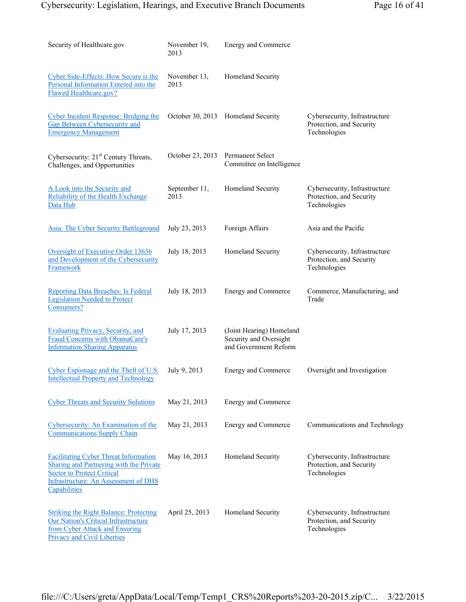| Security of Healthcare.gov                                                                                                                                                                  | November 19,<br>2013  | Energy and Commerce                                                         |                                                                           |
|---------------------------------------------------------------------------------------------------------------------------------------------------------------------------------------------|-----------------------|-----------------------------------------------------------------------------|---------------------------------------------------------------------------|
| Cyber Side-Effects: How Secure is the<br>Personal Information Entered into the<br><b>Flawed Healthcare.gov?</b>                                                                             | November 13,<br>2013  | Homeland Security                                                           |                                                                           |
| <b>Cyber Incident Response: Bridging the</b><br><b>Gap Between Cybersecurity and</b><br><b>Emergency Management</b>                                                                         |                       | October 30, 2013 Homeland Security                                          | Cybersecurity, Infrastructure<br>Protection, and Security<br>Technologies |
| Cybersecurity: 21 <sup>st</sup> Century Threats,<br>Challenges, and Opportunities                                                                                                           | October 23, 2013      | Permanent Select<br>Committee on Intelligence                               |                                                                           |
| A Look into the Security and<br>Reliability of the Health Exchange<br>Data Hub                                                                                                              | September 11,<br>2013 | Homeland Security                                                           | Cybersecurity, Infrastructure<br>Protection, and Security<br>Technologies |
| <b>Asia: The Cyber Security Battleground</b>                                                                                                                                                | July 23, 2013         | Foreign Affairs                                                             | Asia and the Pacific                                                      |
| Oversight of Executive Order 13636<br>and Development of the Cybersecurity<br>Framework                                                                                                     | July 18, 2013         | Homeland Security                                                           | Cybersecurity, Infrastructure<br>Protection, and Security<br>Technologies |
| <b>Reporting Data Breaches: Is Federal</b><br><b>Legislation Needed to Protect</b><br>Consumers?                                                                                            | July 18, 2013         | Energy and Commerce                                                         | Commerce, Manufacturing, and<br>Trade                                     |
| <b>Evaluating Privacy, Security, and</b><br>Fraud Concerns with ObamaCare's<br><b>Information Sharing Apparatus</b>                                                                         | July 17, 2013         | (Joint Hearing) Homeland<br>Security and Oversight<br>and Government Reform |                                                                           |
| Cyber Espionage and the Theft of U.S.<br><b>Intellectual Property and Technology</b>                                                                                                        | July 9, 2013          | Energy and Commerce                                                         | Oversight and Investigation                                               |
| <b>Cyber Threats and Security Solutions</b>                                                                                                                                                 | May 21, 2013          | Energy and Commerce                                                         |                                                                           |
| Cybersecurity: An Examination of the<br><b>Communications Supply Chain</b>                                                                                                                  | May 21, 2013          | Energy and Commerce                                                         | Communications and Technology                                             |
| <b>Facilitating Cyber Threat Information</b><br>Sharing and Partnering with the Private<br><b>Sector to Protect Critical</b><br><b>Infrastructure: An Assessment of DHS</b><br>Capabilities | May 16, 2013          | Homeland Security                                                           | Cybersecurity, Infrastructure<br>Protection, and Security<br>Technologies |
| <b>Striking the Right Balance: Protecting</b><br><b>Our Nation's Critical Infrastructure</b><br>from Cyber Attack and Ensuring<br><b>Privacy and Civil Liberties</b>                        | April 25, 2013        | Homeland Security                                                           | Cybersecurity, Infrastructure<br>Protection, and Security<br>Technologies |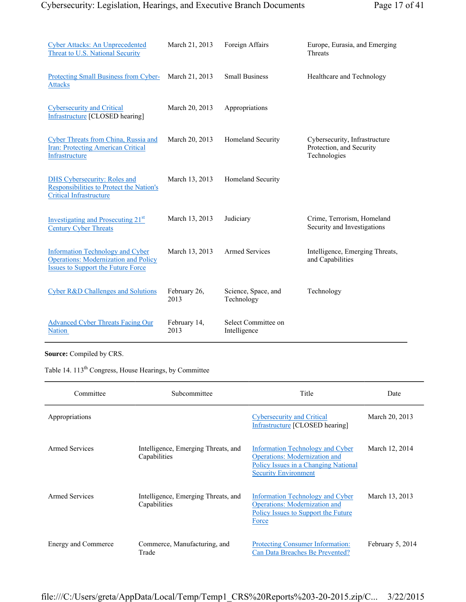| <b>Cyber Attacks: An Unprecedented</b><br>Threat to U.S. National Security                                                          | March 21, 2013       | Foreign Affairs                     | Europe, Eurasia, and Emerging<br>Threats                                  |
|-------------------------------------------------------------------------------------------------------------------------------------|----------------------|-------------------------------------|---------------------------------------------------------------------------|
| Protecting Small Business from Cyber-<br><b>Attacks</b>                                                                             | March 21, 2013       | <b>Small Business</b>               | Healthcare and Technology                                                 |
| <b>Cybersecurity and Critical</b><br><b>Infrastructure [CLOSED hearing]</b>                                                         | March 20, 2013       | Appropriations                      |                                                                           |
| Cyber Threats from China, Russia and<br>Iran: Protecting American Critical<br>Infrastructure                                        | March 20, 2013       | Homeland Security                   | Cybersecurity, Infrastructure<br>Protection, and Security<br>Technologies |
| <b>DHS Cybersecurity: Roles and</b><br>Responsibilities to Protect the Nation's<br><b>Critical Infrastructure</b>                   | March 13, 2013       | Homeland Security                   |                                                                           |
| Investigating and Prosecuting 21 <sup>st</sup><br><b>Century Cyber Threats</b>                                                      | March 13, 2013       | Judiciary                           | Crime, Terrorism, Homeland<br>Security and Investigations                 |
| <b>Information Technology and Cyber</b><br><b>Operations: Modernization and Policy</b><br><b>Issues to Support the Future Force</b> | March 13, 2013       | <b>Armed Services</b>               | Intelligence, Emerging Threats,<br>and Capabilities                       |
| Cyber R&D Challenges and Solutions                                                                                                  | February 26,<br>2013 | Science, Space, and<br>Technology   | Technology                                                                |
| <b>Advanced Cyber Threats Facing Our</b><br><b>Nation</b>                                                                           | February 14,<br>2013 | Select Committee on<br>Intelligence |                                                                           |

**Source:** Compiled by CRS.

Table 14. 113<sup>th</sup> Congress, House Hearings, by Committee

| Committee           | Subcommittee                                        | Title                                                                                                                                           | Date             |
|---------------------|-----------------------------------------------------|-------------------------------------------------------------------------------------------------------------------------------------------------|------------------|
| Appropriations      |                                                     | <b>Cybersecurity and Critical</b><br><b>Infrastructure [CLOSED hearing]</b>                                                                     | March 20, 2013   |
| Armed Services      | Intelligence, Emerging Threats, and<br>Capabilities | Information Technology and Cyber<br><b>Operations:</b> Modernization and<br>Policy Issues in a Changing National<br><b>Security Environment</b> | March 12, 2014   |
| Armed Services      | Intelligence, Emerging Threats, and<br>Capabilities | Information Technology and Cyber<br><b>Operations:</b> Modernization and<br>Policy Issues to Support the Future<br>Force                        | March 13, 2013   |
| Energy and Commerce | Commerce, Manufacturing, and<br>Trade               | <b>Protecting Consumer Information:</b><br>Can Data Breaches Be Prevented?                                                                      | February 5, 2014 |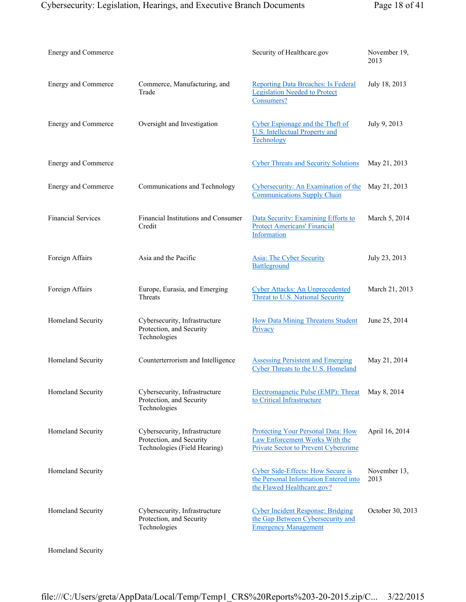| Energy and Commerce       |                                                                                           | Security of Healthcare.gov                                                                                          | November 19,<br>2013 |
|---------------------------|-------------------------------------------------------------------------------------------|---------------------------------------------------------------------------------------------------------------------|----------------------|
| Energy and Commerce       | Commerce, Manufacturing, and<br>Trade                                                     | <b>Reporting Data Breaches: Is Federal</b><br><b>Legislation Needed to Protect</b><br>Consumers?                    | July 18, 2013        |
| Energy and Commerce       | Oversight and Investigation                                                               | Cyber Espionage and the Theft of<br><b>U.S.</b> Intellectual Property and<br>Technology                             | July 9, 2013         |
| Energy and Commerce       |                                                                                           | <b>Cyber Threats and Security Solutions</b>                                                                         | May 21, 2013         |
| Energy and Commerce       | Communications and Technology                                                             | Cybersecurity: An Examination of the<br><b>Communications Supply Chain</b>                                          | May 21, 2013         |
| <b>Financial Services</b> | Financial Institutions and Consumer<br>Credit                                             | Data Security: Examining Efforts to<br><b>Protect Americans' Financial</b><br>Information                           | March 5, 2014        |
| Foreign Affairs           | Asia and the Pacific                                                                      | <b>Asia: The Cyber Security</b><br>Battleground                                                                     | July 23, 2013        |
| Foreign Affairs           | Europe, Eurasia, and Emerging<br>Threats                                                  | <b>Cyber Attacks: An Unprecedented</b><br><b>Threat to U.S. National Security</b>                                   | March 21, 2013       |
| Homeland Security         | Cybersecurity, Infrastructure<br>Protection, and Security<br>Technologies                 | <b>How Data Mining Threatens Student</b><br>Privacy                                                                 | June 25, 2014        |
| Homeland Security         | Counterterrorism and Intelligence                                                         | <b>Assessing Persistent and Emerging</b><br>Cyber Threats to the U.S. Homeland                                      | May 21, 2014         |
| Homeland Security         | Cybersecurity, Infrastructure<br>Protection, and Security<br>Technologies                 | Electromagnetic Pulse (EMP): Threat<br>to Critical Infrastructure                                                   | May 8, 2014          |
| Homeland Security         | Cybersecurity, Infrastructure<br>Protection, and Security<br>Technologies (Field Hearing) | <b>Protecting Your Personal Data: How</b><br>Law Enforcement Works With the<br>Private Sector to Prevent Cybercrime | April 16, 2014       |
| Homeland Security         |                                                                                           | <b>Cyber Side-Effects: How Secure is</b><br>the Personal Information Entered into<br>the Flawed Healthcare.gov?     | November 13,<br>2013 |
| Homeland Security         | Cybersecurity, Infrastructure<br>Protection, and Security<br>Technologies                 | <b>Cyber Incident Response: Bridging</b><br>the Gap Between Cybersecurity and<br><b>Emergency Management</b>        | October 30, 2013     |

Homeland Security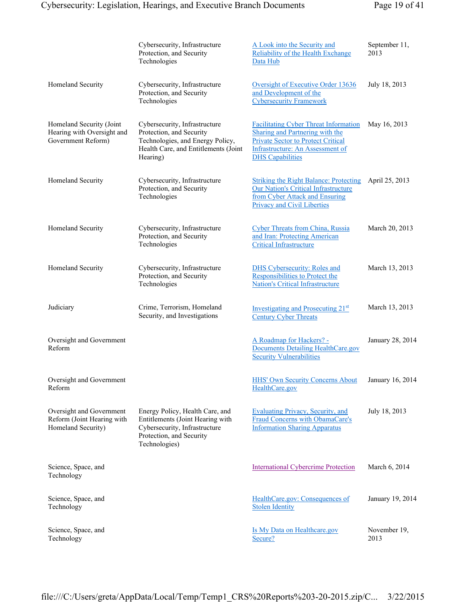|                                                                              | Cybersecurity, Infrastructure<br>Protection, and Security<br>Technologies                                                                         | A Look into the Security and<br>Reliability of the Health Exchange<br>Data Hub                                                                                                              | September 11,<br>2013 |
|------------------------------------------------------------------------------|---------------------------------------------------------------------------------------------------------------------------------------------------|---------------------------------------------------------------------------------------------------------------------------------------------------------------------------------------------|-----------------------|
| Homeland Security                                                            | Cybersecurity, Infrastructure<br>Protection, and Security<br>Technologies                                                                         | Oversight of Executive Order 13636<br>and Development of the<br><b>Cybersecurity Framework</b>                                                                                              | July 18, 2013         |
| Homeland Security (Joint<br>Hearing with Oversight and<br>Government Reform) | Cybersecurity, Infrastructure<br>Protection, and Security<br>Technologies, and Energy Policy,<br>Health Care, and Entitlements (Joint<br>Hearing) | <b>Facilitating Cyber Threat Information</b><br>Sharing and Partnering with the<br><b>Private Sector to Protect Critical</b><br>Infrastructure: An Assessment of<br><b>DHS</b> Capabilities | May 16, 2013          |
| Homeland Security                                                            | Cybersecurity, Infrastructure<br>Protection, and Security<br>Technologies                                                                         | <b>Striking the Right Balance: Protecting</b><br><b>Our Nation's Critical Infrastructure</b><br>from Cyber Attack and Ensuring<br><b>Privacy and Civil Liberties</b>                        | April 25, 2013        |
| Homeland Security                                                            | Cybersecurity, Infrastructure<br>Protection, and Security<br>Technologies                                                                         | <b>Cyber Threats from China, Russia</b><br>and Iran: Protecting American<br><b>Critical Infrastructure</b>                                                                                  | March 20, 2013        |
| Homeland Security                                                            | Cybersecurity, Infrastructure<br>Protection, and Security<br>Technologies                                                                         | <b>DHS Cybersecurity: Roles and</b><br>Responsibilities to Protect the<br><b>Nation's Critical Infrastructure</b>                                                                           | March 13, 2013        |
| Judiciary                                                                    | Crime, Terrorism, Homeland<br>Security, and Investigations                                                                                        | Investigating and Prosecuting 21 <sup>st</sup><br><b>Century Cyber Threats</b>                                                                                                              | March 13, 2013        |
| Oversight and Government<br>Reform                                           |                                                                                                                                                   | A Roadmap for Hackers? -<br><b>Documents Detailing HealthCare.gov</b><br><b>Security Vulnerabilities</b>                                                                                    | January 28, 2014      |
| Oversight and Government<br>Reform                                           |                                                                                                                                                   | HHS' Own Security Concerns About January 16, 2014<br>HealthCare.gov                                                                                                                         |                       |
| Oversight and Government<br>Reform (Joint Hearing with<br>Homeland Security) | Energy Policy, Health Care, and<br>Entitlements (Joint Hearing with<br>Cybersecurity, Infrastructure<br>Protection, and Security<br>Technologies) | <b>Evaluating Privacy, Security, and</b><br>Fraud Concerns with ObamaCare's<br><b>Information Sharing Apparatus</b>                                                                         | July 18, 2013         |
| Science, Space, and<br>Technology                                            |                                                                                                                                                   | <b>International Cybercrime Protection</b>                                                                                                                                                  | March 6, 2014         |
| Science, Space, and<br>Technology                                            |                                                                                                                                                   | HealthCare.gov: Consequences of<br><b>Stolen Identity</b>                                                                                                                                   | January 19, 2014      |
| Science, Space, and<br>Technology                                            |                                                                                                                                                   | Is My Data on Healthcare.gov<br>Secure?                                                                                                                                                     | November 19,<br>2013  |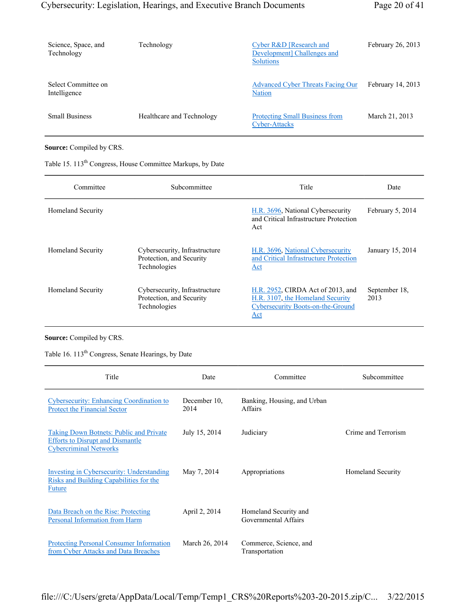| Science, Space, and<br>Technology   | Technology                | Cyber R&D [Research and<br>Development Challenges and<br><b>Solutions</b> | February 26, 2013 |
|-------------------------------------|---------------------------|---------------------------------------------------------------------------|-------------------|
| Select Committee on<br>Intelligence |                           | <b>Advanced Cyber Threats Facing Our</b><br><b>Nation</b>                 | February 14, 2013 |
| <b>Small Business</b>               | Healthcare and Technology | <b>Protecting Small Business from</b><br>Cyber-Attacks                    | March 21, 2013    |

#### **Source:** Compiled by CRS.

|  | Table 15. 113 <sup>th</sup> Congress, House Committee Markups, by Date |  |  |  |
|--|------------------------------------------------------------------------|--|--|--|
|--|------------------------------------------------------------------------|--|--|--|

| Committee                | Subcommittee                                                              | Title                                                                                                                    | Date                  |
|--------------------------|---------------------------------------------------------------------------|--------------------------------------------------------------------------------------------------------------------------|-----------------------|
| <b>Homeland Security</b> |                                                                           | H.R. 3696, National Cybersecurity<br>and Critical Infrastructure Protection<br>Act                                       | February 5, 2014      |
| <b>Homeland Security</b> | Cybersecurity, Infrastructure<br>Protection, and Security<br>Technologies | H.R. 3696, National Cybersecurity<br>and Critical Infrastructure Protection<br>Act                                       | January 15, 2014      |
| <b>Homeland Security</b> | Cybersecurity, Infrastructure<br>Protection, and Security<br>Technologies | H.R. 2952, CIRDA Act of 2013, and<br>H.R. 3107, the Homeland Security<br><b>Cybersecurity Boots-on-the-Ground</b><br>Act | September 18,<br>2013 |

## **Source:** Compiled by CRS.

Table 16. 113<sup>th</sup> Congress, Senate Hearings, by Date

| Title                                                                                                                      | Date                 | Committee                                     | Subcommittee        |
|----------------------------------------------------------------------------------------------------------------------------|----------------------|-----------------------------------------------|---------------------|
| Cybersecurity: Enhancing Coordination to<br><b>Protect the Financial Sector</b>                                            | December 10,<br>2014 | Banking, Housing, and Urban<br>Affairs        |                     |
| <b>Taking Down Botnets: Public and Private</b><br><b>Efforts to Disrupt and Dismantle</b><br><b>Cybercriminal Networks</b> | July 15, 2014        | Judiciary                                     | Crime and Terrorism |
| <b>Investing in Cybersecurity: Understanding</b><br>Risks and Building Capabilities for the<br>Future                      | May 7, 2014          | Appropriations                                | Homeland Security   |
| Data Breach on the Rise: Protecting<br>Personal Information from Harm                                                      | April 2, 2014        | Homeland Security and<br>Governmental Affairs |                     |
| <b>Protecting Personal Consumer Information</b><br>from Cyber Attacks and Data Breaches                                    | March 26, 2014       | Commerce, Science, and<br>Transportation      |                     |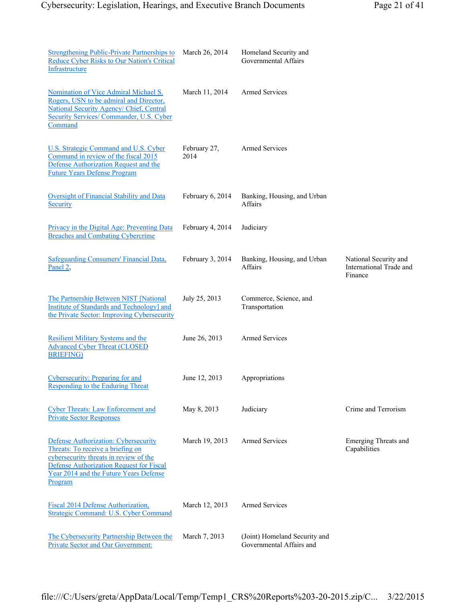| <b>Strengthening Public-Private Partnerships to</b><br>Reduce Cyber Risks to Our Nation's Critical<br>Infrastructure                                                                                                 | March 26, 2014       | Homeland Security and<br>Governmental Affairs             |                                                             |
|----------------------------------------------------------------------------------------------------------------------------------------------------------------------------------------------------------------------|----------------------|-----------------------------------------------------------|-------------------------------------------------------------|
| Nomination of Vice Admiral Michael S.<br>Rogers, USN to be admiral and Director,<br>National Security Agency/ Chief, Central<br>Security Services/ Commander, U.S. Cyber<br>Command                                  | March 11, 2014       | <b>Armed Services</b>                                     |                                                             |
| U.S. Strategic Command and U.S. Cyber<br>Command in review of the fiscal 2015<br>Defense Authorization Request and the<br><b>Future Years Defense Program</b>                                                        | February 27,<br>2014 | <b>Armed Services</b>                                     |                                                             |
| Oversight of Financial Stability and Data<br>Security                                                                                                                                                                | February 6, 2014     | Banking, Housing, and Urban<br>Affairs                    |                                                             |
| Privacy in the Digital Age: Preventing Data<br><b>Breaches and Combating Cybercrime</b>                                                                                                                              | February 4, 2014     | Judiciary                                                 |                                                             |
| <b>Safeguarding Consumers' Financial Data,</b><br>Panel 2,                                                                                                                                                           | February 3, 2014     | Banking, Housing, and Urban<br>Affairs                    | National Security and<br>International Trade and<br>Finance |
| The Partnership Between NIST [National<br><b>Institute of Standards and Technology] and</b><br>the Private Sector: Improving Cybersecurity                                                                           | July 25, 2013        | Commerce, Science, and<br>Transportation                  |                                                             |
| <b>Resilient Military Systems and the</b><br><b>Advanced Cyber Threat (CLOSED)</b><br><b>BRIEFING</b>                                                                                                                | June 26, 2013        | <b>Armed Services</b>                                     |                                                             |
| Cybersecurity: Preparing for and<br><b>Responding to the Enduring Threat</b>                                                                                                                                         | June 12, 2013        | Appropriations                                            |                                                             |
| <b>Cyber Threats: Law Enforcement and</b><br><b>Private Sector Responses</b>                                                                                                                                         | May 8, 2013          | Judiciary                                                 | Crime and Terrorism                                         |
| Defense Authorization: Cybersecurity<br>Threats: To receive a briefing on<br>cybersecurity threats in review of the<br>Defense Authorization Request for Fiscal<br>Year 2014 and the Future Years Defense<br>Program | March 19, 2013       | Armed Services                                            | <b>Emerging Threats and</b><br>Capabilities                 |
| Fiscal 2014 Defense Authorization,<br>Strategic Command: U.S. Cyber Command                                                                                                                                          | March 12, 2013       | <b>Armed Services</b>                                     |                                                             |
| The Cybersecurity Partnership Between the<br>Private Sector and Our Government:                                                                                                                                      | March 7, 2013        | (Joint) Homeland Security and<br>Governmental Affairs and |                                                             |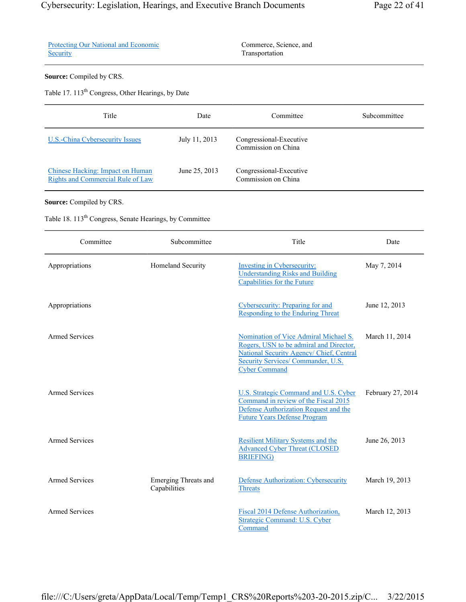|  |  | Page 22 of 41 |  |
|--|--|---------------|--|
|--|--|---------------|--|

|          | <b>Protecting Our National and Economic</b> |
|----------|---------------------------------------------|
| Security |                                             |

Commerce, Science, and Transportation

## **Source:** Compiled by CRS.

Table 17. 113<sup>th</sup> Congress, Other Hearings, by Date

| Title                                                                 | Date          | Committee                                      | Subcommittee |
|-----------------------------------------------------------------------|---------------|------------------------------------------------|--------------|
| U.S.-China Cybersecurity Issues                                       | July 11, 2013 | Congressional-Executive<br>Commission on China |              |
| Chinese Hacking: Impact on Human<br>Rights and Commercial Rule of Law | June 25, 2013 | Congressional-Executive<br>Commission on China |              |

## **Source:** Compiled by CRS.

Table 18. 113<sup>th</sup> Congress, Senate Hearings, by Committee

| Committee             | Subcommittee                                | Title                                                                                                                                                                                            | Date              |
|-----------------------|---------------------------------------------|--------------------------------------------------------------------------------------------------------------------------------------------------------------------------------------------------|-------------------|
| Appropriations        | Homeland Security                           | <b>Investing in Cybersecurity:</b><br><b>Understanding Risks and Building</b><br>Capabilities for the Future                                                                                     | May 7, 2014       |
| Appropriations        |                                             | Cybersecurity: Preparing for and<br><b>Responding to the Enduring Threat</b>                                                                                                                     | June 12, 2013     |
| <b>Armed Services</b> |                                             | Nomination of Vice Admiral Michael S.<br>Rogers, USN to be admiral and Director,<br>National Security Agency/ Chief, Central<br><b>Security Services/Commander, U.S.</b><br><b>Cyber Command</b> | March 11, 2014    |
| <b>Armed Services</b> |                                             | <b>U.S. Strategic Command and U.S. Cyber</b><br>Command in review of the Fiscal 2015<br>Defense Authorization Request and the<br><b>Future Years Defense Program</b>                             | February 27, 2014 |
| <b>Armed Services</b> |                                             | <b>Resilient Military Systems and the</b><br><b>Advanced Cyber Threat (CLOSED</b><br><b>BRIEFING</b> )                                                                                           | June 26, 2013     |
| <b>Armed Services</b> | <b>Emerging Threats and</b><br>Capabilities | Defense Authorization: Cybersecurity<br><b>Threats</b>                                                                                                                                           | March 19, 2013    |
| <b>Armed Services</b> |                                             | Fiscal 2014 Defense Authorization,<br>Strategic Command: U.S. Cyber<br>Command                                                                                                                   | March 12, 2013    |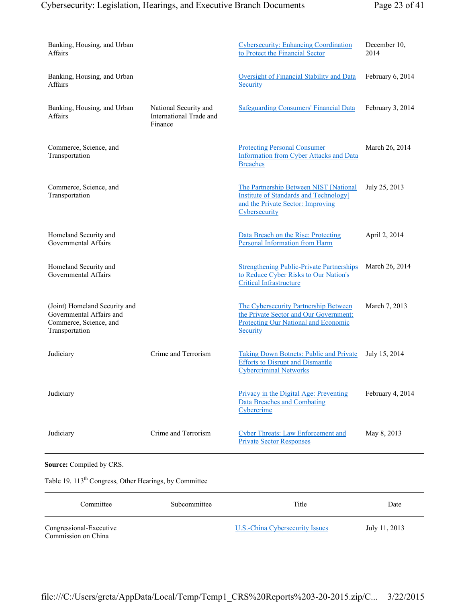## Cybersecurity: Legislation, Hearings, and Executive Branch Documents Page 23 of 41

| Banking, Housing, and Urban<br>Affairs                                                                |                                                             | <b>Cybersecurity: Enhancing Coordination</b><br>to Protect the Financial Sector                                                              | December 10,<br>2014 |
|-------------------------------------------------------------------------------------------------------|-------------------------------------------------------------|----------------------------------------------------------------------------------------------------------------------------------------------|----------------------|
| Banking, Housing, and Urban<br>Affairs                                                                |                                                             | Oversight of Financial Stability and Data<br>Security                                                                                        | February 6, 2014     |
| Banking, Housing, and Urban<br>Affairs                                                                | National Security and<br>International Trade and<br>Finance | <b>Safeguarding Consumers' Financial Data</b>                                                                                                | February 3, 2014     |
| Commerce, Science, and<br>Transportation                                                              |                                                             | <b>Protecting Personal Consumer</b><br><b>Information from Cyber Attacks and Data</b><br><b>Breaches</b>                                     | March 26, 2014       |
| Commerce, Science, and<br>Transportation                                                              |                                                             | The Partnership Between NIST [National<br><b>Institute of Standards and Technology</b><br>and the Private Sector: Improving<br>Cybersecurity | July 25, 2013        |
| Homeland Security and<br><b>Governmental Affairs</b>                                                  |                                                             | Data Breach on the Rise: Protecting<br>Personal Information from Harm                                                                        | April 2, 2014        |
| Homeland Security and<br>Governmental Affairs                                                         |                                                             | <b>Strengthening Public-Private Partnerships</b><br>to Reduce Cyber Risks to Our Nation's<br><b>Critical Infrastructure</b>                  | March 26, 2014       |
| (Joint) Homeland Security and<br>Governmental Affairs and<br>Commerce, Science, and<br>Transportation |                                                             | The Cybersecurity Partnership Between<br>the Private Sector and Our Government:<br><b>Protecting Our National and Economic</b><br>Security   | March 7, 2013        |
| Judiciary                                                                                             | Crime and Terrorism                                         | <b>Taking Down Botnets: Public and Private</b><br><b>Efforts to Disrupt and Dismantle</b><br><b>Cybercriminal Networks</b>                   | July 15, 2014        |
| Judiciary                                                                                             |                                                             | Privacy in the Digital Age: Preventing<br><b>Data Breaches and Combating</b><br>Cybercrime                                                   | February 4, 2014     |
| Judiciary                                                                                             | Crime and Terrorism                                         | <b>Cyber Threats: Law Enforcement and</b><br><b>Private Sector Responses</b>                                                                 | May 8, 2013          |
| Source: Compiled by CRS.                                                                              |                                                             |                                                                                                                                              |                      |
| Table 19. 113 <sup>th</sup> Congress, Other Hearings, by Committee                                    |                                                             |                                                                                                                                              |                      |
| Committee                                                                                             | Subcommittee                                                | Title                                                                                                                                        | Date                 |
| Congressional-Executive<br>Commission on China                                                        |                                                             | <b>U.S.-China Cybersecurity Issues</b>                                                                                                       | July 11, 2013        |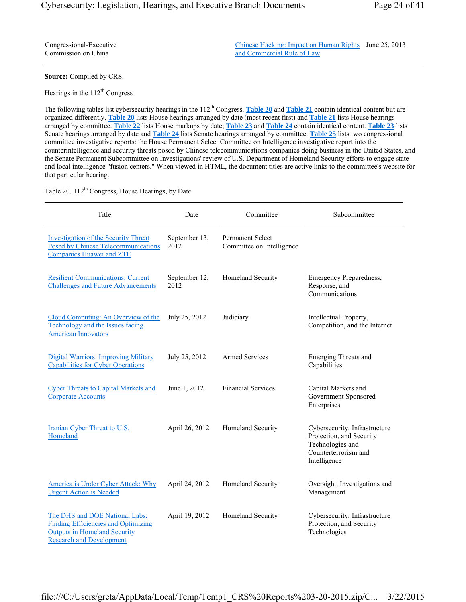Congressional-Executive Commission on China

Chinese Hacking: Impact on Human Rights June 25, 2013 and Commercial Rule of Law

**Source:** Compiled by CRS.

Hearings in the  $112<sup>th</sup>$  Congress

The following tables list cybersecurity hearings in the 112<sup>th</sup> Congress. **Table 20** and **Table 21** contain identical content but are organized differently. **Table 20** lists House hearings arranged by date (most recent first) and **Table 21** lists House hearings arranged by committee. **Table 22** lists House markups by date; **Table 23** and **Table 24** contain identical content. **Table 23** lists Senate hearings arranged by date and **Table 24** lists Senate hearings arranged by committee. **Table 25** lists two congressional committee investigative reports: the House Permanent Select Committee on Intelligence investigative report into the counterintelligence and security threats posed by Chinese telecommunications companies doing business in the United States, and the Senate Permanent Subcommittee on Investigations' review of U.S. Department of Homeland Security efforts to engage state and local intelligence "fusion centers." When viewed in HTML, the document titles are active links to the committee's website for that particular hearing.

Table 20. 112<sup>th</sup> Congress, House Hearings, by Date

| Title                                                                                                                                                  | Date                  | Committee                                            | Subcommittee                                                                                                          |
|--------------------------------------------------------------------------------------------------------------------------------------------------------|-----------------------|------------------------------------------------------|-----------------------------------------------------------------------------------------------------------------------|
| <b>Investigation of the Security Threat</b><br><b>Posed by Chinese Telecommunications</b><br><b>Companies Huawei and ZTE</b>                           | September 13,<br>2012 | <b>Permanent Select</b><br>Committee on Intelligence |                                                                                                                       |
| <b>Resilient Communications: Current</b><br><b>Challenges and Future Advancements</b>                                                                  | September 12,<br>2012 | Homeland Security                                    | Emergency Preparedness,<br>Response, and<br>Communications                                                            |
| Cloud Computing: An Overview of the<br>Technology and the Issues facing<br><b>American Innovators</b>                                                  | July 25, 2012         | Judiciary                                            | Intellectual Property,<br>Competition, and the Internet                                                               |
| <b>Digital Warriors: Improving Military</b><br><b>Capabilities for Cyber Operations</b>                                                                | July 25, 2012         | <b>Armed Services</b>                                | <b>Emerging Threats and</b><br>Capabilities                                                                           |
| <b>Cyber Threats to Capital Markets and</b><br><b>Corporate Accounts</b>                                                                               | June 1, 2012          | <b>Financial Services</b>                            | Capital Markets and<br>Government Sponsored<br>Enterprises                                                            |
| Iranian Cyber Threat to U.S.<br>Homeland                                                                                                               | April 26, 2012        | Homeland Security                                    | Cybersecurity, Infrastructure<br>Protection, and Security<br>Technologies and<br>Counterterrorism and<br>Intelligence |
| America is Under Cyber Attack: Why<br><b>Urgent Action is Needed</b>                                                                                   | April 24, 2012        | Homeland Security                                    | Oversight, Investigations and<br>Management                                                                           |
| The DHS and DOE National Labs:<br><b>Finding Efficiencies and Optimizing</b><br><b>Outputs in Homeland Security</b><br><b>Research and Development</b> | April 19, 2012        | Homeland Security                                    | Cybersecurity, Infrastructure<br>Protection, and Security<br>Technologies                                             |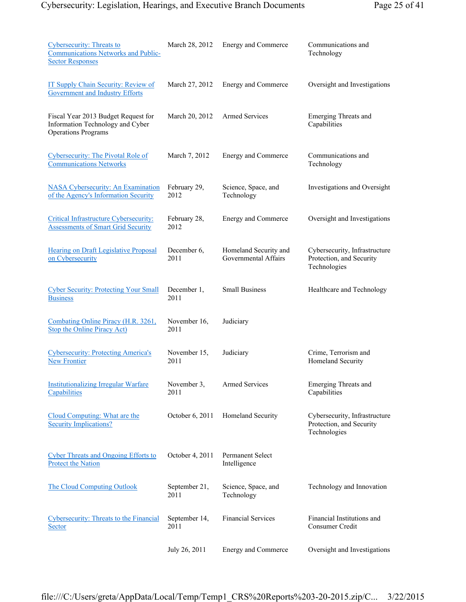| <b>Cybersecurity: Threats to</b><br><b>Communications Networks and Public-</b><br><b>Sector Responses</b> | March 28, 2012        | Energy and Commerce                           | Communications and<br>Technology                                          |
|-----------------------------------------------------------------------------------------------------------|-----------------------|-----------------------------------------------|---------------------------------------------------------------------------|
| IT Supply Chain Security: Review of<br><b>Government and Industry Efforts</b>                             | March 27, 2012        | <b>Energy and Commerce</b>                    | Oversight and Investigations                                              |
| Fiscal Year 2013 Budget Request for<br>Information Technology and Cyber<br><b>Operations Programs</b>     | March 20, 2012        | <b>Armed Services</b>                         | Emerging Threats and<br>Capabilities                                      |
| <b>Cybersecurity: The Pivotal Role of</b><br><b>Communications Networks</b>                               | March 7, 2012         | Energy and Commerce                           | Communications and<br>Technology                                          |
| <b>NASA Cybersecurity: An Examination</b><br>of the Agency's Information Security                         | February 29,<br>2012  | Science, Space, and<br>Technology             | Investigations and Oversight                                              |
| Critical Infrastructure Cybersecurity:<br><b>Assessments of Smart Grid Security</b>                       | February 28,<br>2012  | <b>Energy and Commerce</b>                    | Oversight and Investigations                                              |
| <b>Hearing on Draft Legislative Proposal</b><br>on Cybersecurity                                          | December 6,<br>2011   | Homeland Security and<br>Governmental Affairs | Cybersecurity, Infrastructure<br>Protection, and Security<br>Technologies |
| <b>Cyber Security: Protecting Your Small</b><br><b>Business</b>                                           | December 1,<br>2011   | <b>Small Business</b>                         | Healthcare and Technology                                                 |
| Combating Online Piracy (H.R. 3261,<br><b>Stop the Online Piracy Act)</b>                                 | November 16,<br>2011  | Judiciary                                     |                                                                           |
| <b>Cybersecurity: Protecting America's</b><br><b>New Frontier</b>                                         | November 15,<br>2011  | Judiciary                                     | Crime, Terrorism and<br>Homeland Security                                 |
| <b>Institutionalizing Irregular Warfare</b><br>Capabilities                                               | November 3,<br>2011   | <b>Armed Services</b>                         | <b>Emerging Threats and</b><br>Capabilities                               |
| Cloud Computing: What are the<br><b>Security Implications?</b>                                            | October 6, 2011       | Homeland Security                             | Cybersecurity, Infrastructure<br>Protection, and Security<br>Technologies |
| <b>Cyber Threats and Ongoing Efforts to</b><br><b>Protect the Nation</b>                                  | October 4, 2011       | <b>Permanent Select</b><br>Intelligence       |                                                                           |
| The Cloud Computing Outlook                                                                               | September 21,<br>2011 | Science, Space, and<br>Technology             | Technology and Innovation                                                 |
| Cybersecurity: Threats to the Financial<br>Sector                                                         | September 14,<br>2011 | <b>Financial Services</b>                     | Financial Institutions and<br>Consumer Credit                             |
|                                                                                                           | July 26, 2011         | <b>Energy and Commerce</b>                    | Oversight and Investigations                                              |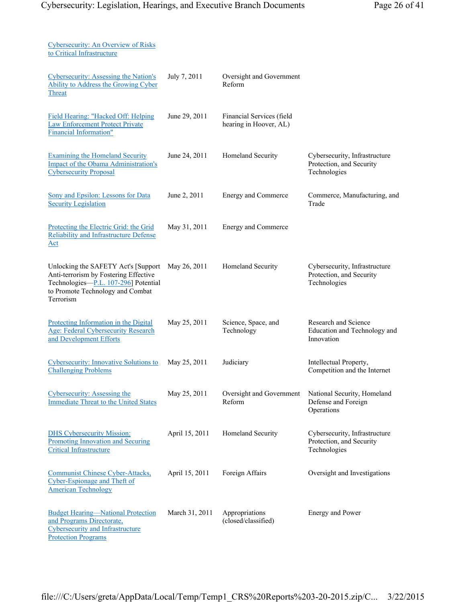| Cybersecurity: An Overview of Risks<br>to Critical Infrastructure                                                                                                     |                |                                                     |                                                                           |
|-----------------------------------------------------------------------------------------------------------------------------------------------------------------------|----------------|-----------------------------------------------------|---------------------------------------------------------------------------|
| Cybersecurity: Assessing the Nation's<br>Ability to Address the Growing Cyber<br>Threat                                                                               | July 7, 2011   | Oversight and Government<br>Reform                  |                                                                           |
| Field Hearing: "Hacked Off: Helping<br><b>Law Enforcement Protect Private</b><br><b>Financial Information"</b>                                                        | June 29, 2011  | Financial Services (field<br>hearing in Hoover, AL) |                                                                           |
| <b>Examining the Homeland Security</b><br><b>Impact of the Obama Administration's</b><br><b>Cybersecurity Proposal</b>                                                | June 24, 2011  | Homeland Security                                   | Cybersecurity, Infrastructure<br>Protection, and Security<br>Technologies |
| Sony and Epsilon: Lessons for Data<br><b>Security Legislation</b>                                                                                                     | June 2, 2011   | Energy and Commerce                                 | Commerce, Manufacturing, and<br>Trade                                     |
| Protecting the Electric Grid: the Grid<br><b>Reliability and Infrastructure Defense</b><br>$\Delta$ ct                                                                | May 31, 2011   | <b>Energy and Commerce</b>                          |                                                                           |
| Unlocking the SAFETY Act's [Support<br>Anti-terrorism by Fostering Effective<br>Technologies-P.L. 107-296] Potential<br>to Promote Technology and Combat<br>Terrorism | May 26, 2011   | Homeland Security                                   | Cybersecurity, Infrastructure<br>Protection, and Security<br>Technologies |
| Protecting Information in the Digital<br><b>Age: Federal Cybersecurity Research</b><br>and Development Efforts                                                        | May 25, 2011   | Science, Space, and<br>Technology                   | Research and Science<br>Education and Technology and<br>Innovation        |
| <b>Cybersecurity: Innovative Solutions to</b><br><b>Challenging Problems</b>                                                                                          | May 25, 2011   | Judiciary                                           | Intellectual Property,<br>Competition and the Internet                    |
| Cybersecurity: Assessing the<br><b>Immediate Threat to the United States</b>                                                                                          | May 25, 2011   | Oversight and Government<br>Reform                  | National Security, Homeland<br>Defense and Foreign<br>Operations          |
| <b>DHS Cybersecurity Mission:</b><br>Promoting Innovation and Securing<br><b>Critical Infrastructure</b>                                                              | April 15, 2011 | Homeland Security                                   | Cybersecurity, Infrastructure<br>Protection, and Security<br>Technologies |
| Communist Chinese Cyber-Attacks,<br>Cyber-Espionage and Theft of<br><b>American Technology</b>                                                                        | April 15, 2011 | Foreign Affairs                                     | Oversight and Investigations                                              |
| <b>Budget Hearing-National Protection</b><br>and Programs Directorate,<br><b>Cybersecurity and Infrastructure</b><br><b>Protection Programs</b>                       | March 31, 2011 | Appropriations<br>(closed/classified)               | Energy and Power                                                          |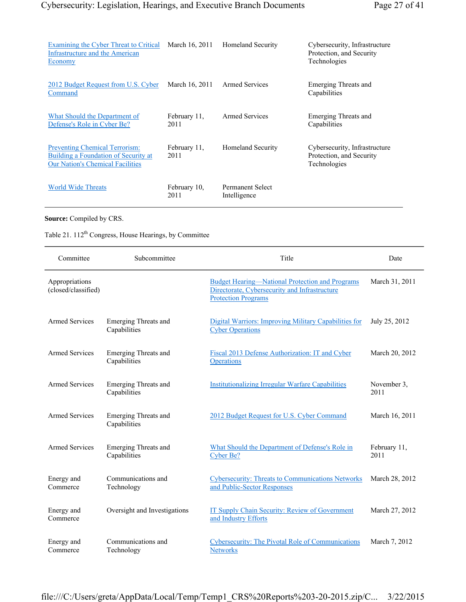| Examining the Cyber Threat to Critical<br>Infrastructure and the American<br>Economy                                     | March 16, 2011       | <b>Homeland Security</b>                | Cybersecurity, Infrastructure<br>Protection, and Security<br>Technologies |
|--------------------------------------------------------------------------------------------------------------------------|----------------------|-----------------------------------------|---------------------------------------------------------------------------|
| 2012 Budget Request from U.S. Cyber<br>Command                                                                           | March 16, 2011       | <b>Armed Services</b>                   | Emerging Threats and<br>Capabilities                                      |
| What Should the Department of<br>Defense's Role in Cyber Be?                                                             | February 11,<br>2011 | Armed Services                          | Emerging Threats and<br>Capabilities                                      |
| <b>Preventing Chemical Terrorism:</b><br>Building a Foundation of Security at<br><b>Our Nation's Chemical Facilities</b> | February 11,<br>2011 | Homeland Security                       | Cybersecurity, Infrastructure<br>Protection, and Security<br>Technologies |
| <b>World Wide Threats</b>                                                                                                | February 10,<br>2011 | <b>Permanent Select</b><br>Intelligence |                                                                           |

**Source:** Compiled by CRS.

## Table 21. 112<sup>th</sup> Congress, House Hearings, by Committee

| Committee                             | Subcommittee                                | Title                                                                                                                                 | Date                 |
|---------------------------------------|---------------------------------------------|---------------------------------------------------------------------------------------------------------------------------------------|----------------------|
| Appropriations<br>(closed/classified) |                                             | <b>Budget Hearing—National Protection and Programs</b><br>Directorate, Cybersecurity and Infrastructure<br><b>Protection Programs</b> | March 31, 2011       |
| <b>Armed Services</b>                 | Emerging Threats and<br>Capabilities        | Digital Warriors: Improving Military Capabilities for<br><b>Cyber Operations</b>                                                      | July 25, 2012        |
| <b>Armed Services</b>                 | Emerging Threats and<br>Capabilities        | Fiscal 2013 Defense Authorization: IT and Cyber<br>Operations                                                                         | March 20, 2012       |
| <b>Armed Services</b>                 | <b>Emerging Threats and</b><br>Capabilities | <b>Institutionalizing Irregular Warfare Capabilities</b>                                                                              | November 3,<br>2011  |
| <b>Armed Services</b>                 | <b>Emerging Threats and</b><br>Capabilities | 2012 Budget Request for U.S. Cyber Command                                                                                            | March 16, 2011       |
| <b>Armed Services</b>                 | <b>Emerging Threats and</b><br>Capabilities | What Should the Department of Defense's Role in<br>Cyber Be?                                                                          | February 11,<br>2011 |
| Energy and<br>Commerce                | Communications and<br>Technology            | Cybersecurity: Threats to Communications Networks<br>and Public-Sector Responses                                                      | March 28, 2012       |
| Energy and<br>Commerce                | Oversight and Investigations                | IT Supply Chain Security: Review of Government<br>and Industry Efforts                                                                | March 27, 2012       |
| Energy and<br>Commerce                | Communications and<br>Technology            | <b>Cybersecurity: The Pivotal Role of Communications</b><br><b>Networks</b>                                                           | March 7, 2012        |

file:///C:/Users/greta/AppData/Local/Temp/Temp1\_CRS%20Reports%203-20-2015.zip/C... 3/22/2015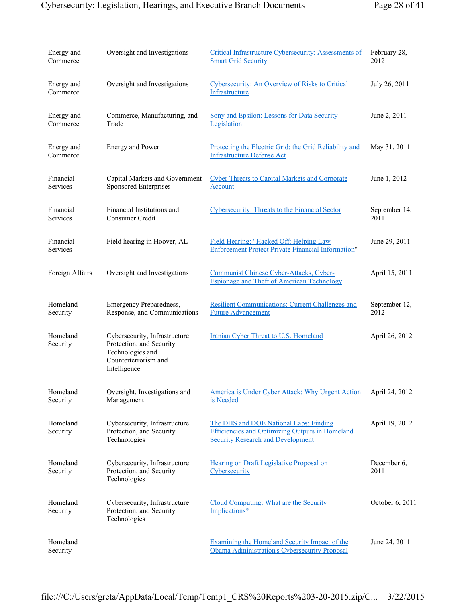| Energy and<br>Commerce       | Oversight and Investigations                                                                                          | Critical Infrastructure Cybersecurity: Assessments of<br><b>Smart Grid Security</b>                                                          | February 28,<br>2012  |
|------------------------------|-----------------------------------------------------------------------------------------------------------------------|----------------------------------------------------------------------------------------------------------------------------------------------|-----------------------|
| Energy and<br>Commerce       | Oversight and Investigations                                                                                          | Cybersecurity: An Overview of Risks to Critical<br>Infrastructure                                                                            | July 26, 2011         |
| Energy and<br>Commerce       | Commerce, Manufacturing, and<br>Trade                                                                                 | Sony and Epsilon: Lessons for Data Security<br>Legislation                                                                                   | June 2, 2011          |
| Energy and<br>Commerce       | <b>Energy and Power</b>                                                                                               | Protecting the Electric Grid: the Grid Reliability and<br><b>Infrastructure Defense Act</b>                                                  | May 31, 2011          |
| Financial<br><b>Services</b> | Capital Markets and Government<br>Sponsored Enterprises                                                               | <b>Cyber Threats to Capital Markets and Corporate</b><br>Account                                                                             | June 1, 2012          |
| Financial<br>Services        | Financial Institutions and<br>Consumer Credit                                                                         | Cybersecurity: Threats to the Financial Sector                                                                                               | September 14,<br>2011 |
| Financial<br>Services        | Field hearing in Hoover, AL                                                                                           | Field Hearing: "Hacked Off: Helping Law<br><b>Enforcement Protect Private Financial Information"</b>                                         | June 29, 2011         |
| Foreign Affairs              | Oversight and Investigations                                                                                          | Communist Chinese Cyber-Attacks, Cyber-<br><b>Espionage and Theft of American Technology</b>                                                 | April 15, 2011        |
| Homeland<br>Security         | <b>Emergency Preparedness,</b><br>Response, and Communications                                                        | <b>Resilient Communications: Current Challenges and</b><br><b>Future Advancement</b>                                                         | September 12,<br>2012 |
| Homeland<br>Security         | Cybersecurity, Infrastructure<br>Protection, and Security<br>Technologies and<br>Counterterrorism and<br>Intelligence | Iranian Cyber Threat to U.S. Homeland                                                                                                        | April 26, 2012        |
| Homeland<br>Security         | Oversight, Investigations and<br>Management                                                                           | America is Under Cyber Attack: Why Urgent Action<br>is Needed                                                                                | April 24, 2012        |
| Homeland<br>Security         | Cybersecurity, Infrastructure<br>Protection, and Security<br>Technologies                                             | The DHS and DOE National Labs: Finding<br><b>Efficiencies and Optimizing Outputs in Homeland</b><br><b>Security Research and Development</b> | April 19, 2012        |
| Homeland<br>Security         | Cybersecurity, Infrastructure<br>Protection, and Security<br>Technologies                                             | Hearing on Draft Legislative Proposal on<br>Cybersecurity                                                                                    | December 6,<br>2011   |
| Homeland<br>Security         | Cybersecurity, Infrastructure<br>Protection, and Security<br>Technologies                                             | Cloud Computing: What are the Security<br><b>Implications?</b>                                                                               | October 6, 2011       |
| Homeland<br>Security         |                                                                                                                       | Examining the Homeland Security Impact of the<br>Obama Administration's Cybersecurity Proposal                                               | June 24, 2011         |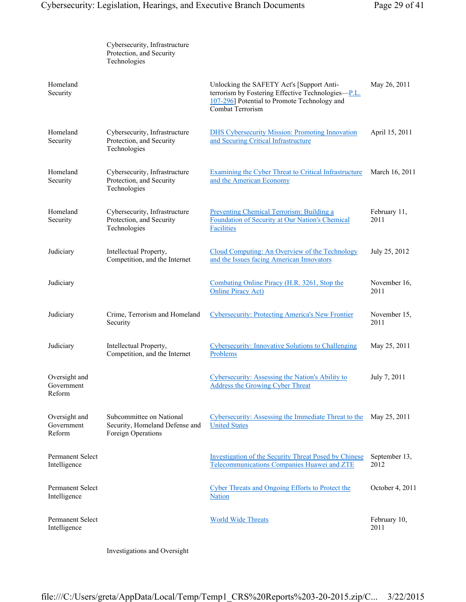|                                         | Cybersecurity, Infrastructure<br>Protection, and Security<br>Technologies        |                                                                                                                                                                            |                       |
|-----------------------------------------|----------------------------------------------------------------------------------|----------------------------------------------------------------------------------------------------------------------------------------------------------------------------|-----------------------|
| Homeland<br>Security                    |                                                                                  | Unlocking the SAFETY Act's [Support Anti-<br>terrorism by Fostering Effective Technologies—P.L.<br>107-296] Potential to Promote Technology and<br><b>Combat Terrorism</b> | May 26, 2011          |
| Homeland<br>Security                    | Cybersecurity, Infrastructure<br>Protection, and Security<br>Technologies        | <b>DHS Cybersecurity Mission: Promoting Innovation</b><br>and Securing Critical Infrastructure                                                                             | April 15, 2011        |
| Homeland<br>Security                    | Cybersecurity, Infrastructure<br>Protection, and Security<br>Technologies        | <b>Examining the Cyber Threat to Critical Infrastructure</b><br>and the American Economy                                                                                   | March 16, 2011        |
| Homeland<br>Security                    | Cybersecurity, Infrastructure<br>Protection, and Security<br>Technologies        | Preventing Chemical Terrorism: Building a<br>Foundation of Security at Our Nation's Chemical<br><b>Facilities</b>                                                          | February 11,<br>2011  |
| Judiciary                               | Intellectual Property,<br>Competition, and the Internet                          | Cloud Computing: An Overview of the Technology<br>and the Issues facing American Innovators                                                                                | July 25, 2012         |
| Judiciary                               |                                                                                  | Combating Online Piracy (H.R. 3261, Stop the<br><b>Online Piracy Act)</b>                                                                                                  | November 16,<br>2011  |
| Judiciary                               | Crime, Terrorism and Homeland<br>Security                                        | <b>Cybersecurity: Protecting America's New Frontier</b>                                                                                                                    | November 15,<br>2011  |
| Judiciary                               | Intellectual Property,<br>Competition, and the Internet                          | Cybersecurity: Innovative Solutions to Challenging<br>Problems                                                                                                             | May 25, 2011          |
| Oversight and<br>Government<br>Reform   |                                                                                  | Cybersecurity: Assessing the Nation's Ability to<br><b>Address the Growing Cyber Threat</b>                                                                                | July 7, 2011          |
| Oversight and<br>Government<br>Reform   | Subcommittee on National<br>Security, Homeland Defense and<br>Foreign Operations | Cybersecurity: Assessing the Immediate Threat to the<br><b>United States</b>                                                                                               | May 25, 2011          |
| <b>Permanent Select</b><br>Intelligence |                                                                                  | <b>Investigation of the Security Threat Posed by Chinese</b><br>Telecommunications Companies Huawei and ZTE                                                                | September 13,<br>2012 |
| Permanent Select<br>Intelligence        |                                                                                  | <b>Cyber Threats and Ongoing Efforts to Protect the</b><br><b>Nation</b>                                                                                                   | October 4, 2011       |
| Permanent Select<br>Intelligence        |                                                                                  | <b>World Wide Threats</b>                                                                                                                                                  | February 10,<br>2011  |

Investigations and Oversight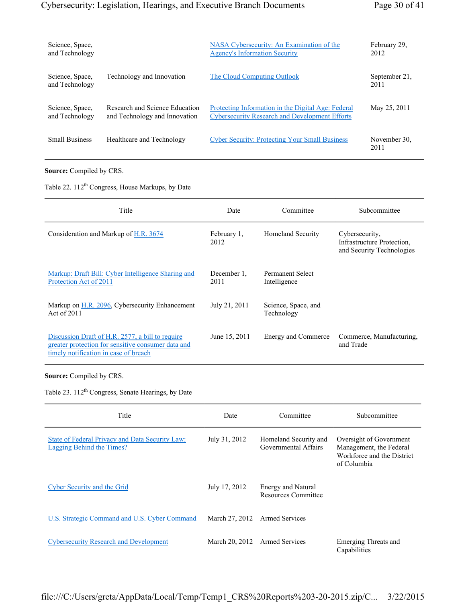| Science, Space,                   |                                | NASA Cybersecurity: An Examination of the             | February 29.          |
|-----------------------------------|--------------------------------|-------------------------------------------------------|-----------------------|
| and Technology                    |                                | <b>Agency's Information Security</b>                  | 2012                  |
| Science, Space,<br>and Technology | Technology and Innovation      | The Cloud Computing Outlook                           | September 21.<br>2011 |
| Science, Space,                   | Research and Science Education | Protecting Information in the Digital Age: Federal    | May 25, 2011          |
| and Technology                    | and Technology and Innovation  | <b>Cybersecurity Research and Development Efforts</b> |                       |
| <b>Small Business</b>             | Healthcare and Technology      | <b>Cyber Security: Protecting Your Small Business</b> | November 30.<br>2011  |

**Source:** Compiled by CRS.

Table 22. 112<sup>th</sup> Congress, House Markups, by Date

| Title                                                                                                                                           | Date                | Committee                               | Subcommittee                                                              |
|-------------------------------------------------------------------------------------------------------------------------------------------------|---------------------|-----------------------------------------|---------------------------------------------------------------------------|
| Consideration and Markup of H.R. 3674                                                                                                           | February 1.<br>2012 | <b>Homeland Security</b>                | Cybersecurity.<br>Infrastructure Protection.<br>and Security Technologies |
| Markup: Draft Bill: Cyber Intelligence Sharing and<br>Protection Act of 2011                                                                    | December 1.<br>2011 | <b>Permanent Select</b><br>Intelligence |                                                                           |
| Markup on H.R. 2096, Cybersecurity Enhancement<br>Act of 2011                                                                                   | July 21, 2011       | Science, Space, and<br>Technology       |                                                                           |
| Discussion Draft of H.R. 2577, a bill to require<br>greater protection for sensitive consumer data and<br>timely notification in case of breach | June 15, 2011       | Energy and Commerce                     | Commerce, Manufacturing,<br>and Trade                                     |

## **Source:** Compiled by CRS.

Table 23. 112<sup>th</sup> Congress, Senate Hearings, by Date

| Title                                                                               | Date           | Committee                                        | Subcommittee                                                                                    |
|-------------------------------------------------------------------------------------|----------------|--------------------------------------------------|-------------------------------------------------------------------------------------------------|
| State of Federal Privacy and Data Security Law:<br><b>Lagging Behind the Times?</b> | July 31, 2012  | Homeland Security and<br>Governmental Affairs    | Oversight of Government<br>Management, the Federal<br>Workforce and the District<br>of Columbia |
| Cyber Security and the Grid                                                         | July 17, 2012  | Energy and Natural<br><b>Resources Committee</b> |                                                                                                 |
| U.S. Strategic Command and U.S. Cyber Command                                       |                | March 27, 2012 Armed Services                    |                                                                                                 |
| <b>Cybersecurity Research and Development</b>                                       | March 20, 2012 | <b>Armed Services</b>                            | Emerging Threats and<br>Capabilities                                                            |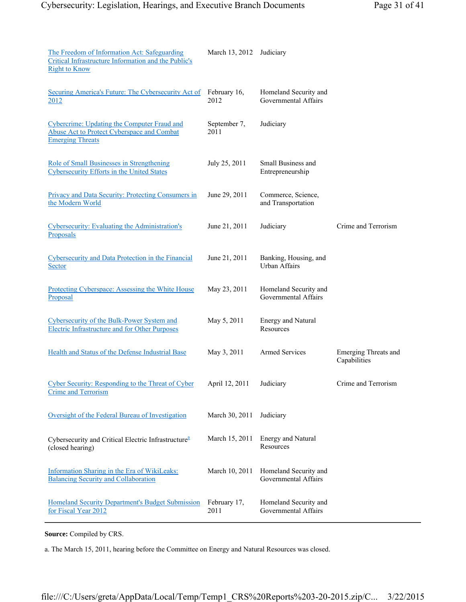| The Freedom of Information Act: Safeguarding<br>Critical Infrastructure Information and the Public's<br><b>Right to Know</b> | March 13, 2012       | Judiciary                                     |                                      |
|------------------------------------------------------------------------------------------------------------------------------|----------------------|-----------------------------------------------|--------------------------------------|
| Securing America's Future: The Cybersecurity Act of<br>2012                                                                  | February 16,<br>2012 | Homeland Security and<br>Governmental Affairs |                                      |
| Cybercrime: Updating the Computer Fraud and<br><b>Abuse Act to Protect Cyberspace and Combat</b><br><b>Emerging Threats</b>  | September 7,<br>2011 | Judiciary                                     |                                      |
| Role of Small Businesses in Strengthening<br><b>Cybersecurity Efforts in the United States</b>                               | July 25, 2011        | <b>Small Business and</b><br>Entrepreneurship |                                      |
| <b>Privacy and Data Security: Protecting Consumers in</b><br>the Modern World                                                | June 29, 2011        | Commerce, Science,<br>and Transportation      |                                      |
| Cybersecurity: Evaluating the Administration's<br>Proposals                                                                  | June 21, 2011        | Judiciary                                     | Crime and Terrorism                  |
| Cybersecurity and Data Protection in the Financial<br>Sector                                                                 | June 21, 2011        | Banking, Housing, and<br><b>Urban Affairs</b> |                                      |
| Protecting Cyberspace: Assessing the White House<br>Proposal                                                                 | May 23, 2011         | Homeland Security and<br>Governmental Affairs |                                      |
| Cybersecurity of the Bulk-Power System and<br><b>Electric Infrastructure and for Other Purposes</b>                          | May 5, 2011          | <b>Energy and Natural</b><br>Resources        |                                      |
| Health and Status of the Defense Industrial Base                                                                             | May 3, 2011          | <b>Armed Services</b>                         | Emerging Threats and<br>Capabilities |
| Cyber Security: Responding to the Threat of Cyber<br><b>Crime and Terrorism</b>                                              | April 12, 2011       | Judiciary                                     | Crime and Terrorism                  |
| Oversight of the Federal Bureau of Investigation                                                                             | March 30, 2011       | Judiciary                                     |                                      |
| Cybersecurity and Critical Electric Infrastructure <sup>a</sup><br>(closed hearing)                                          | March 15, 2011       | Energy and Natural<br>Resources               |                                      |
| Information Sharing in the Era of WikiLeaks:<br><b>Balancing Security and Collaboration</b>                                  | March 10, 2011       | Homeland Security and<br>Governmental Affairs |                                      |
| Homeland Security Department's Budget Submission<br>for Fiscal Year 2012                                                     | February 17,<br>2011 | Homeland Security and<br>Governmental Affairs |                                      |

**Source:** Compiled by CRS.

a. The March 15, 2011, hearing before the Committee on Energy and Natural Resources was closed.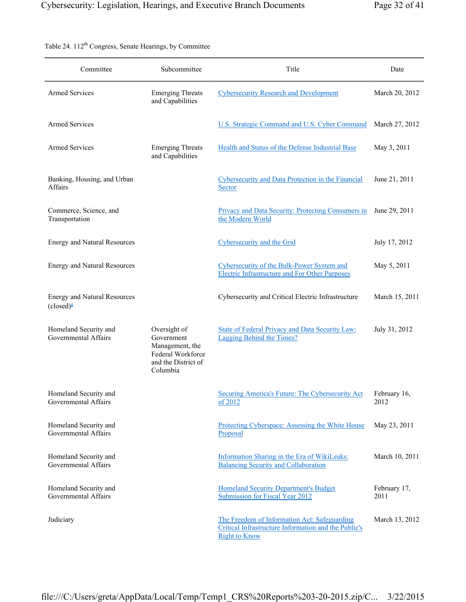| Committee                                                         | Subcommittee                                                                                          | Title                                                                                                                        | Date                 |
|-------------------------------------------------------------------|-------------------------------------------------------------------------------------------------------|------------------------------------------------------------------------------------------------------------------------------|----------------------|
| <b>Armed Services</b>                                             | <b>Emerging Threats</b><br>and Capabilities                                                           | <b>Cybersecurity Research and Development</b>                                                                                | March 20, 2012       |
| <b>Armed Services</b>                                             |                                                                                                       | U.S. Strategic Command and U.S. Cyber Command                                                                                | March 27, 2012       |
| <b>Armed Services</b>                                             | <b>Emerging Threats</b><br>and Capabilities                                                           | Health and Status of the Defense Industrial Base                                                                             | May 3, 2011          |
| Banking, Housing, and Urban<br>Affairs                            |                                                                                                       | <b>Cybersecurity and Data Protection in the Financial</b><br>Sector                                                          | June 21, 2011        |
| Commerce, Science, and<br>Transportation                          |                                                                                                       | Privacy and Data Security: Protecting Consumers in<br>the Modern World                                                       | June 29, 2011        |
| <b>Energy and Natural Resources</b>                               |                                                                                                       | <b>Cybersecurity and the Grid</b>                                                                                            | July 17, 2012        |
| <b>Energy and Natural Resources</b>                               |                                                                                                       | Cybersecurity of the Bulk-Power System and<br><b>Electric Infrastructure and For Other Purposes</b>                          | May 5, 2011          |
| <b>Energy and Natural Resources</b><br>$(closed)^{\underline{a}}$ |                                                                                                       | Cybersecurity and Critical Electric Infrastructure                                                                           | March 15, 2011       |
| Homeland Security and<br>Governmental Affairs                     | Oversight of<br>Government<br>Management, the<br>Federal Workforce<br>and the District of<br>Columbia | <b>State of Federal Privacy and Data Security Law:</b><br><b>Lagging Behind the Times?</b>                                   | July 31, 2012        |
| Homeland Security and<br>Governmental Affairs                     |                                                                                                       | Securing America's Future: The Cybersecurity Act<br>of 2012                                                                  | February 16,<br>2012 |
| Homeland Security and<br>Governmental Affairs                     |                                                                                                       | Protecting Cyberspace: Assessing the White House<br>Proposal                                                                 | May 23, 2011         |
| Homeland Security and<br>Governmental Affairs                     |                                                                                                       | Information Sharing in the Era of WikiLeaks:<br><b>Balancing Security and Collaboration</b>                                  | March 10, 2011       |
| Homeland Security and<br>Governmental Affairs                     |                                                                                                       | <b>Homeland Security Department's Budget</b><br>Submission for Fiscal Year 2012                                              | February 17,<br>2011 |
| Judiciary                                                         |                                                                                                       | The Freedom of Information Act: Safeguarding<br>Critical Infrastructure Information and the Public's<br><b>Right to Know</b> | March 13, 2012       |

Table 24. 112<sup>th</sup> Congress, Senate Hearings, by Committee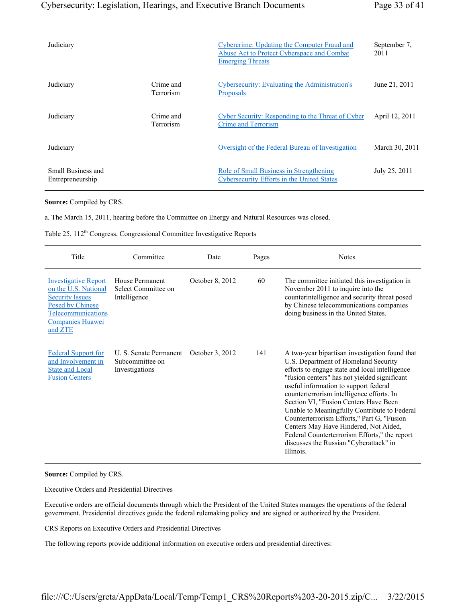| Judiciary                              |                               | Cybercrime: Updating the Computer Fraud and<br>Abuse Act to Protect Cyberspace and Combat<br><b>Emerging Threats</b> | September 7,<br>2011 |
|----------------------------------------|-------------------------------|----------------------------------------------------------------------------------------------------------------------|----------------------|
| Judiciary                              | Crime and<br><b>Terrorism</b> | Cybersecurity: Evaluating the Administration's<br><b>Proposals</b>                                                   | June 21, 2011        |
| Judiciary                              | Crime and<br><b>Terrorism</b> | Cyber Security: Responding to the Threat of Cyber<br>Crime and Terrorism                                             | April 12, 2011       |
| Judiciary                              |                               | Oversight of the Federal Bureau of Investigation                                                                     | March 30, 2011       |
| Small Business and<br>Entrepreneurship |                               | Role of Small Business in Strengthening<br><b>Cybersecurity Efforts in the United States</b>                         | July 25, 2011        |

#### **Source:** Compiled by CRS.

a. The March 15, 2011, hearing before the Committee on Energy and Natural Resources was closed.

Table 25. 112<sup>th</sup> Congress, Congressional Committee Investigative Reports

| Title                                                                                                                                                         | Committee                                                   | Date            | Pages | <b>Notes</b>                                                                                                                                                                                                                                                                                                                                                                                                                                                                                                                                                           |
|---------------------------------------------------------------------------------------------------------------------------------------------------------------|-------------------------------------------------------------|-----------------|-------|------------------------------------------------------------------------------------------------------------------------------------------------------------------------------------------------------------------------------------------------------------------------------------------------------------------------------------------------------------------------------------------------------------------------------------------------------------------------------------------------------------------------------------------------------------------------|
| <b>Investigative Report</b><br>on the U.S. National<br><b>Security Issues</b><br>Posed by Chinese<br><b>Telecommunications</b><br>Companies Huawei<br>and ZTE | House Permanent<br>Select Committee on<br>Intelligence      | October 8, 2012 | 60    | The committee initiated this investigation in<br>November 2011 to inquire into the<br>counterintelligence and security threat posed<br>by Chinese telecommunications companies<br>doing business in the United States.                                                                                                                                                                                                                                                                                                                                                 |
| <b>Federal Support for</b><br>and Involvement in<br><b>State and Local</b><br><b>Fusion Centers</b>                                                           | U. S. Senate Permanent<br>Subcommittee on<br>Investigations | October 3, 2012 | 141   | A two-year bipartisan investigation found that<br>U.S. Department of Homeland Security<br>efforts to engage state and local intelligence<br>"fusion centers" has not yielded significant<br>useful information to support federal<br>counterterrorism intelligence efforts. In<br>Section VI, "Fusion Centers Have Been<br>Unable to Meaningfully Contribute to Federal<br>Counterterrorism Efforts," Part G, "Fusion<br>Centers May Have Hindered, Not Aided,<br>Federal Counterterrorism Efforts," the report<br>discusses the Russian "Cyberattack" in<br>Illinois. |

#### **Source:** Compiled by CRS.

Executive Orders and Presidential Directives

Executive orders are official documents through which the President of the United States manages the operations of the federal government. Presidential directives guide the federal rulemaking policy and are signed or authorized by the President.

CRS Reports on Executive Orders and Presidential Directives

The following reports provide additional information on executive orders and presidential directives: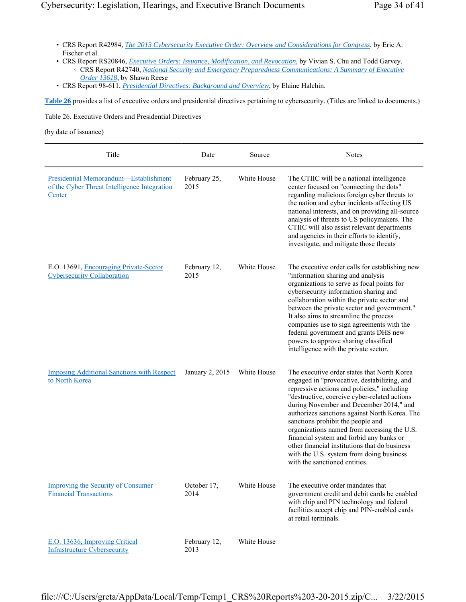- CRS Report R42984, *The 2013 Cybersecurity Executive Order: Overview and Considerations for Congress*, by Eric A. Fischer et al.
- CRS Report RS20846, *Executive Orders: Issuance, Modification, and Revocation*, by Vivian S. Chu and Todd Garvey. ◦ CRS Report R42740, *National Security and Emergency Preparedness Communications: A Summary of Executive Order 13618*, by Shawn Reese
- CRS Report 98-611, *Presidential Directives: Background and Overview*, by Elaine Halchin.

**Table 26** provides a list of executive orders and presidential directives pertaining to cybersecurity. (Titles are linked to documents.)

Table 26. Executive Orders and Presidential Directives

(by date of issuance)

| Title                                                                                           | Date                 | Source      | <b>Notes</b>                                                                                                                                                                                                                                                                                                                                                                                                                                                                                                                                        |
|-------------------------------------------------------------------------------------------------|----------------------|-------------|-----------------------------------------------------------------------------------------------------------------------------------------------------------------------------------------------------------------------------------------------------------------------------------------------------------------------------------------------------------------------------------------------------------------------------------------------------------------------------------------------------------------------------------------------------|
| Presidential Memorandum-Establishment<br>of the Cyber Threat Intelligence Integration<br>Center | February 25,<br>2015 | White House | The CTIIC will be a national intelligence<br>center focused on "connecting the dots"<br>regarding malicious foreign cyber threats to<br>the nation and cyber incidents affecting US<br>national interests, and on providing all-source<br>analysis of threats to US policymakers. The<br>CTIIC will also assist relevant departments<br>and agencies in their efforts to identify,<br>investigate, and mitigate those threats                                                                                                                       |
| E.O. 13691, Encouraging Private-Sector<br><b>Cybersecurity Collaboration</b>                    | February 12,<br>2015 | White House | The executive order calls for establishing new<br>"information sharing and analysis<br>organizations to serve as focal points for<br>cybersecurity information sharing and<br>collaboration within the private sector and<br>between the private sector and government."<br>It also aims to streamline the process<br>companies use to sign agreements with the<br>federal government and grants DHS new<br>powers to approve sharing classified<br>intelligence with the private sector.                                                           |
| <b>Imposing Additional Sanctions with Respect</b><br>to North Korea                             | January 2, 2015      | White House | The executive order states that North Korea<br>engaged in "provocative, destabilizing, and<br>repressive actions and policies," including<br>"destructive, coercive cyber-related actions<br>during November and December 2014," and<br>authorizes sanctions against North Korea. The<br>sanctions prohibit the people and<br>organizations named from accessing the U.S.<br>financial system and forbid any banks or<br>other financial institutions that do business<br>with the U.S. system from doing business<br>with the sanctioned entities. |
| <b>Improving the Security of Consumer</b><br><b>Financial Transactions</b>                      | October 17,<br>2014  | White House | The executive order mandates that<br>government credit and debit cards be enabled<br>with chip and PIN technology and federal<br>facilities accept chip and PIN-enabled cards<br>at retail terminals.                                                                                                                                                                                                                                                                                                                                               |
| E.O. 13636, Improving Critical<br><b>Infrastructure Cybersecurity</b>                           | February 12,<br>2013 | White House |                                                                                                                                                                                                                                                                                                                                                                                                                                                                                                                                                     |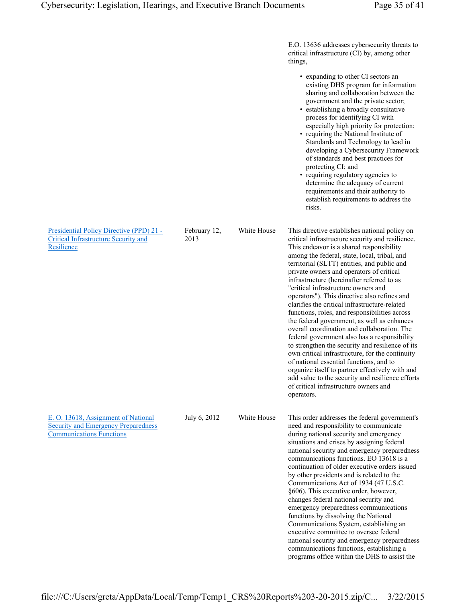|                                                                                                                      |                      |             | E.O. 13636 addresses cybersecurity threats to<br>critical infrastructure (CI) by, among other<br>things,                                                                                                                                                                                                                                                                                                                                                                                                                                                                                                                                                                                                                                                                                                                                                                                                                                                                                      |
|----------------------------------------------------------------------------------------------------------------------|----------------------|-------------|-----------------------------------------------------------------------------------------------------------------------------------------------------------------------------------------------------------------------------------------------------------------------------------------------------------------------------------------------------------------------------------------------------------------------------------------------------------------------------------------------------------------------------------------------------------------------------------------------------------------------------------------------------------------------------------------------------------------------------------------------------------------------------------------------------------------------------------------------------------------------------------------------------------------------------------------------------------------------------------------------|
|                                                                                                                      |                      |             | • expanding to other CI sectors an<br>existing DHS program for information<br>sharing and collaboration between the<br>government and the private sector;<br>• establishing a broadly consultative<br>process for identifying CI with<br>especially high priority for protection;<br>• requiring the National Institute of<br>Standards and Technology to lead in<br>developing a Cybersecurity Framework<br>of standards and best practices for<br>protecting CI; and<br>• requiring regulatory agencies to<br>determine the adequacy of current<br>requirements and their authority to<br>establish requirements to address the<br>risks.                                                                                                                                                                                                                                                                                                                                                   |
| Presidential Policy Directive (PPD) 21 -<br><b>Critical Infrastructure Security and</b><br>Resilience                | February 12,<br>2013 | White House | This directive establishes national policy on<br>critical infrastructure security and resilience.<br>This endeavor is a shared responsibility<br>among the federal, state, local, tribal, and<br>territorial (SLTT) entities, and public and<br>private owners and operators of critical<br>infrastructure (hereinafter referred to as<br>"critical infrastructure owners and<br>operators"). This directive also refines and<br>clarifies the critical infrastructure-related<br>functions, roles, and responsibilities across<br>the federal government, as well as enhances<br>overall coordination and collaboration. The<br>federal government also has a responsibility<br>to strengthen the security and resilience of its<br>own critical infrastructure, for the continuity<br>of national essential functions, and to<br>organize itself to partner effectively with and<br>add value to the security and resilience efforts<br>of critical infrastructure owners and<br>operators. |
| E. O. 13618, Assignment of National<br><b>Security and Emergency Preparedness</b><br><b>Communications Functions</b> | July 6, 2012         | White House | This order addresses the federal government's<br>need and responsibility to communicate<br>during national security and emergency<br>situations and crises by assigning federal<br>national security and emergency preparedness<br>communications functions. EO 13618 is a<br>continuation of older executive orders issued<br>by other presidents and is related to the<br>Communications Act of 1934 (47 U.S.C.<br>§606). This executive order, however,<br>changes federal national security and<br>emergency preparedness communications<br>functions by dissolving the National<br>Communications System, establishing an<br>executive committee to oversee federal<br>national security and emergency preparedness<br>communications functions, establishing a<br>programs office within the DHS to assist the                                                                                                                                                                          |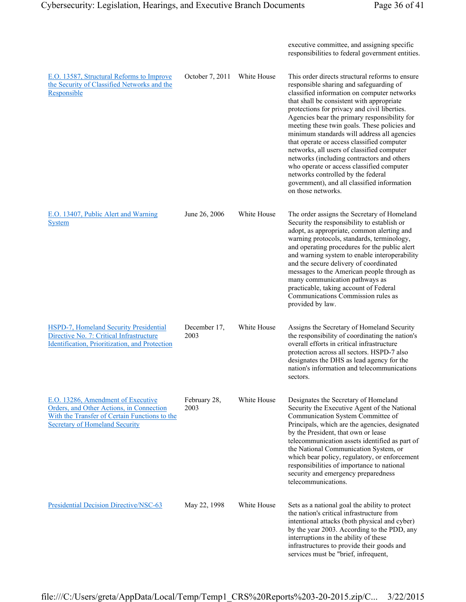|                                                                                                                                                                          |                      |             | executive committee, and assigning specific<br>responsibilities to federal government entities.                                                                                                                                                                                                                                                                                                                                                                                                                                                                                                                                                                                         |
|--------------------------------------------------------------------------------------------------------------------------------------------------------------------------|----------------------|-------------|-----------------------------------------------------------------------------------------------------------------------------------------------------------------------------------------------------------------------------------------------------------------------------------------------------------------------------------------------------------------------------------------------------------------------------------------------------------------------------------------------------------------------------------------------------------------------------------------------------------------------------------------------------------------------------------------|
| E.O. 13587, Structural Reforms to Improve<br>the Security of Classified Networks and the<br>Responsible                                                                  | October 7, 2011      | White House | This order directs structural reforms to ensure<br>responsible sharing and safeguarding of<br>classified information on computer networks<br>that shall be consistent with appropriate<br>protections for privacy and civil liberties.<br>Agencies bear the primary responsibility for<br>meeting these twin goals. These policies and<br>minimum standards will address all agencies<br>that operate or access classified computer<br>networks, all users of classified computer<br>networks (including contractors and others<br>who operate or access classified computer<br>networks controlled by the federal<br>government), and all classified information<br>on those networks. |
| E.O. 13407, Public Alert and Warning<br><b>System</b>                                                                                                                    | June 26, 2006        | White House | The order assigns the Secretary of Homeland<br>Security the responsibility to establish or<br>adopt, as appropriate, common alerting and<br>warning protocols, standards, terminology,<br>and operating procedures for the public alert<br>and warning system to enable interoperability<br>and the secure delivery of coordinated<br>messages to the American people through as<br>many communication pathways as<br>practicable, taking account of Federal<br>Communications Commission rules as<br>provided by law.                                                                                                                                                                  |
| HSPD-7, Homeland Security Presidential<br>Directive No. 7: Critical Infrastructure<br>Identification, Prioritization, and Protection                                     | December 17,<br>2003 | White House | Assigns the Secretary of Homeland Security<br>the responsibility of coordinating the nation's<br>overall efforts in critical infrastructure<br>protection across all sectors. HSPD-7 also<br>designates the DHS as lead agency for the<br>nation's information and telecommunications<br>sectors.                                                                                                                                                                                                                                                                                                                                                                                       |
| E.O. 13286, Amendment of Executive<br>Orders, and Other Actions, in Connection<br>With the Transfer of Certain Functions to the<br><b>Secretary of Homeland Security</b> | February 28,<br>2003 | White House | Designates the Secretary of Homeland<br>Security the Executive Agent of the National<br>Communication System Committee of<br>Principals, which are the agencies, designated<br>by the President, that own or lease<br>telecommunication assets identified as part of<br>the National Communication System, or<br>which bear policy, regulatory, or enforcement<br>responsibilities of importance to national<br>security and emergency preparedness<br>telecommunications.                                                                                                                                                                                                              |
| Presidential Decision Directive/NSC-63                                                                                                                                   | May 22, 1998         | White House | Sets as a national goal the ability to protect<br>the nation's critical infrastructure from<br>intentional attacks (both physical and cyber)<br>by the year 2003. According to the PDD, any<br>interruptions in the ability of these<br>infrastructures to provide their goods and<br>services must be "brief, infrequent,                                                                                                                                                                                                                                                                                                                                                              |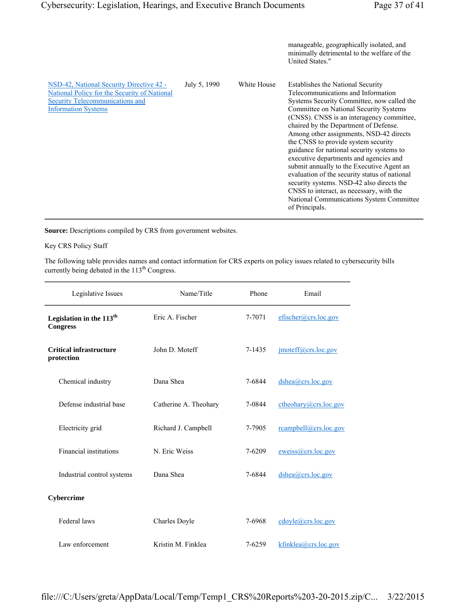manageable, geographically isolated, and minimally detrimental to the welfare of the United States."

| NSD-42, National Security Directive 42 -<br>National Policy for the Security of National<br>Security Telecommunications and<br><b>Information Systems</b> | July 5, 1990 | White House | <b>Establishes the National Security</b><br>Telecommunications and Information<br>Systems Security Committee, now called the<br>Committee on National Security Systems<br>(CNSS). CNSS is an interagency committee,<br>chaired by the Department of Defense.<br>Among other assignments, NSD-42 directs<br>the CNSS to provide system security<br>guidance for national security systems to<br>executive departments and agencies and<br>submit annually to the Executive Agent an<br>evaluation of the security status of national<br>security systems. NSD-42 also directs the<br>CNSS to interact, as necessary, with the<br>National Communications System Committee<br>of Principals. |
|-----------------------------------------------------------------------------------------------------------------------------------------------------------|--------------|-------------|--------------------------------------------------------------------------------------------------------------------------------------------------------------------------------------------------------------------------------------------------------------------------------------------------------------------------------------------------------------------------------------------------------------------------------------------------------------------------------------------------------------------------------------------------------------------------------------------------------------------------------------------------------------------------------------------|
|-----------------------------------------------------------------------------------------------------------------------------------------------------------|--------------|-------------|--------------------------------------------------------------------------------------------------------------------------------------------------------------------------------------------------------------------------------------------------------------------------------------------------------------------------------------------------------------------------------------------------------------------------------------------------------------------------------------------------------------------------------------------------------------------------------------------------------------------------------------------------------------------------------------------|

**Source:** Descriptions compiled by CRS from government websites.

#### Key CRS Policy Staff

The following table provides names and contact information for CRS experts on policy issues related to cybersecurity bills currently being debated in the  $113<sup>th</sup>$  Congress.

| Legislative Issues                                      | Name/Title            | Phone  | Email                                         |
|---------------------------------------------------------|-----------------------|--------|-----------------------------------------------|
| Legislation in the 113 <sup>th</sup><br><b>Congress</b> | Eric A. Fischer       | 7-7071 | efischer@crs.loc.gov                          |
| <b>Critical infrastructure</b><br>protection            | John D. Moteff        | 7-1435 | $\frac{1}{2}$ imoteff@crs.loc.gov             |
| Chemical industry                                       | Dana Shea             | 7-6844 | dshea@crs.loc.gov                             |
| Defense industrial base                                 | Catherine A. Theohary | 7-0844 | cheohary@crs.loc.gov                          |
| Electricity grid                                        | Richard J. Campbell   | 7-7905 | reampbell@crs.loc.gov                         |
| <b>Financial institutions</b>                           | N. Eric Weiss         | 7-6209 | eweiss@crs.loc.gov                            |
| Industrial control systems                              | Dana Shea             | 7-6844 | dshea@crs.loc.gov                             |
| Cybercrime                                              |                       |        |                                               |
| Federal laws                                            | Charles Doyle         | 7-6968 | $\text{cdoyle}(a) \text{crs.} \text{loc.gov}$ |
| Law enforcement                                         | Kristin M. Finklea    | 7-6259 | $k$ finklea@crs.loc.gov                       |

file:///C:/Users/greta/AppData/Local/Temp/Temp1\_CRS%20Reports%203-20-2015.zip/C... 3/22/2015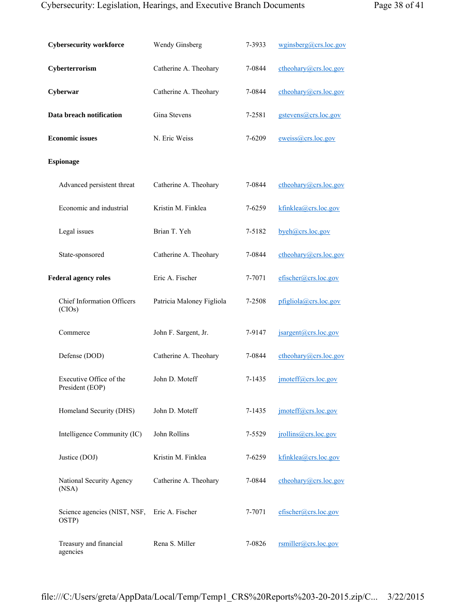## Cybersecurity: Legislation, Hearings, and Executive Branch Documents Page 38 of 41

|  | Page 38 0141 |  |  |
|--|--------------|--|--|
|  |              |  |  |

| <b>Cybersecurity workforce</b>              | Wendy Ginsberg            | 7-3933 | wginsberg(a)crs.loc.gov |
|---------------------------------------------|---------------------------|--------|-------------------------|
| Cyberterrorism                              | Catherine A. Theohary     | 7-0844 | ctheohary@crs.loc.gov   |
| Cyberwar                                    | Catherine A. Theohary     | 7-0844 | $cheohary@crs.loc.gov$  |
| Data breach notification                    | Gina Stevens              | 7-2581 | gstevens@crs.loc.gov    |
| <b>Economic issues</b>                      | N. Eric Weiss             | 7-6209 | eweiss@crs.loc.gov      |
| <b>Espionage</b>                            |                           |        |                         |
| Advanced persistent threat                  | Catherine A. Theohary     | 7-0844 | ctheohary@crs.loc.gov   |
| Economic and industrial                     | Kristin M. Finklea        | 7-6259 | kfinklea@crs.loc.gov    |
| Legal issues                                | Brian T. Yeh              | 7-5182 | byeh@crs.loc.gov        |
| State-sponsored                             | Catherine A. Theohary     | 7-0844 | $cheohary@crs.loc.gov$  |
| <b>Federal agency roles</b>                 | Eric A. Fischer           | 7-7071 | efischer@crs.loc.gov    |
| <b>Chief Information Officers</b><br>(CIOs) | Patricia Maloney Figliola | 7-2508 | pfigliola@crs.loc.gov   |
| Commerce                                    | John F. Sargent, Jr.      | 7-9147 | jsargent@crs.loc.gov    |
| Defense (DOD)                               | Catherine A. Theohary     | 7-0844 | ctheohary@crs.loc.gov   |
| Executive Office of the<br>President (EOP)  | John D. Moteff            | 7-1435 | $j$ moteff@crs.loc.gov  |
| Homeland Security (DHS)                     | John D. Moteff            | 7-1435 | imoteff@crs.loc.gov     |
| Intelligence Community (IC)                 | John Rollins              | 7-5529 | jrollins@crs.loc.gov    |
| Justice (DOJ)                               | Kristin M. Finklea        | 7-6259 | kfinklea@crs.loc.gov    |
| National Security Agency<br>(NSA)           | Catherine A. Theohary     | 7-0844 | cheohary@crs.loc.gov    |
| Science agencies (NIST, NSF,<br>OSTP)       | Eric A. Fischer           | 7-7071 | efischer@crs.loc.gov    |
| Treasury and financial<br>agencies          | Rena S. Miller            | 7-0826 | rsmiller@crs.loc.gov    |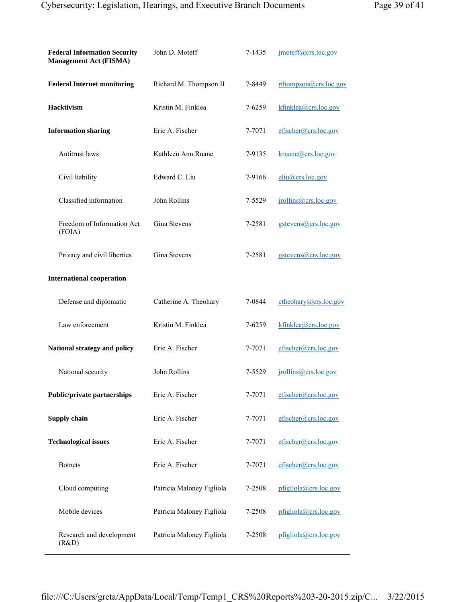| <b>Federal Information Security</b><br><b>Management Act (FISMA)</b> | John D. Moteff            | 7-1435 | imoteff@crs.loc.gov     |
|----------------------------------------------------------------------|---------------------------|--------|-------------------------|
| <b>Federal Internet monitoring</b>                                   | Richard M. Thompson II    | 7-8449 | rthompson@crs.loc.gov   |
| <b>Hacktivism</b>                                                    | Kristin M. Finklea        | 7-6259 | kfinklea@crs.loc.gov    |
| <b>Information sharing</b>                                           | Eric A. Fischer           | 7-7071 | efischer@crs.loc.gov    |
| Antitrust laws                                                       | Kathleen Ann Ruane        | 7-9135 | kruane@crs.loc.gov      |
| Civil liability                                                      | Edward C. Liu             | 7-9166 | $eliu(a)$ crs.loc.gov   |
| Classified information                                               | John Rollins              | 7-5529 | $j$ rollins@crs.loc.gov |
| Freedom of Information Act<br>(FOIA)                                 | Gina Stevens              | 7-2581 | gstevens@crs.loc.gov    |
| Privacy and civil liberties                                          | Gina Stevens              | 7-2581 | gstevens@crs.loc.gov    |
| <b>International cooperation</b>                                     |                           |        |                         |
| Defense and diplomatic                                               | Catherine A. Theohary     | 7-0844 | cheohary@crs.loc.gov    |
| Law enforcement                                                      | Kristin M. Finklea        | 7-6259 | kfinklea@crs.loc.gov    |
| National strategy and policy                                         | Eric A. Fischer           | 7-7071 | efischer@crs.loc.gov    |
| National security                                                    | John Rollins              | 7-5529 | jrollins@crs.loc.gov    |
| <b>Public/private partnerships</b>                                   | Eric A. Fischer           | 7-7071 | efischer@crs.loc.gov    |
| <b>Supply chain</b>                                                  | Eric A. Fischer           | 7-7071 | efischer@crs.loc.gov    |
| <b>Technological issues</b>                                          | Eric A. Fischer           | 7-7071 | efischer@crs.loc.gov    |
| <b>Botnets</b>                                                       | Eric A. Fischer           | 7-7071 | efischer@crs.loc.gov    |
| Cloud computing                                                      | Patricia Maloney Figliola | 7-2508 | pfigliola@crs.loc.gov   |
| Mobile devices                                                       | Patricia Maloney Figliola | 7-2508 | pfigliola@crs.loc.gov   |
| Research and development<br>(R&D)                                    | Patricia Maloney Figliola | 7-2508 | pfigliola@crs.loc.gov   |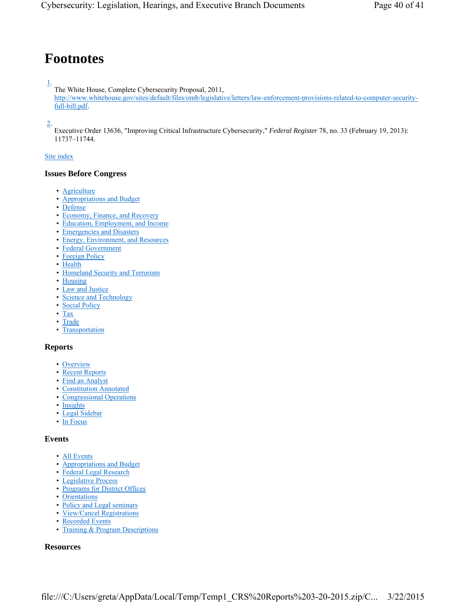# **Footnotes**

#### 1.

The White House, Complete Cybersecurity Proposal, 2011,

http://www.whitehouse.gov/sites/default/files/omb/legislative/letters/law-enforcement-provisions-related-to-computer-securityfull-bill.pdf.

## 2.

Executive Order 13636, "Improving Critical Infrastructure Cybersecurity," *Federal Register* 78, no. 33 (February 19, 2013): 11737–11744.

#### Site index

#### **Issues Before Congress**

- Agriculture
- Appropriations and Budget
- Defense
- Economy, Finance, and Recovery
- Education, Employment, and Income
- Emergencies and Disasters
- Energy, Environment, and Resources
- Federal Government
- Foreign Policy
- Health
- Homeland Security and Terrorism
- Housing
- Law and Justice
- Science and Technology
- Social Policy
- Tax
- Trade
- Transportation

#### **Reports**

- Overview
- Recent Reports
- Find an Analyst
- Constitution Annotated
- Congressional Operations
- Insights
- Legal Sidebar
- In Focus

#### **Events**

- All Events
- Appropriations and Budget
- Federal Legal Research
- Legislative Process
- Programs for District Offices
- Orientations
- Policy and Legal seminars
- View/Cancel Registrations
- Recorded Events
- Training & Program Descriptions

#### **Resources**